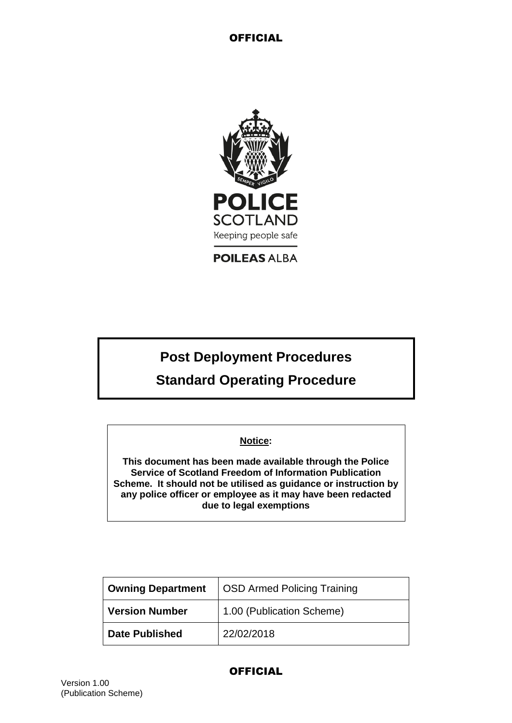

**POILEAS ALBA** 

# **Post Deployment Procedures**

# **Standard Operating Procedure**

### **Notice:**

**This document has been made available through the Police Service of Scotland Freedom of Information Publication Scheme. It should not be utilised as guidance or instruction by any police officer or employee as it may have been redacted due to legal exemptions**

| <b>Owning Department</b> | <b>OSD Armed Policing Training</b> |  |
|--------------------------|------------------------------------|--|
| <b>Version Number</b>    | 1.00 (Publication Scheme)          |  |
| <b>Date Published</b>    | 22/02/2018                         |  |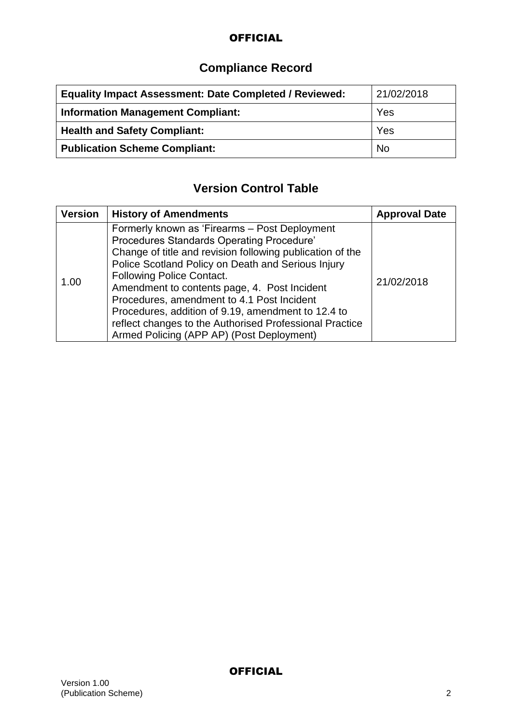# **Compliance Record**

| <b>Equality Impact Assessment: Date Completed / Reviewed:</b> | 21/02/2018 |
|---------------------------------------------------------------|------------|
| <b>Information Management Compliant:</b>                      | Yes        |
| <b>Health and Safety Compliant:</b>                           | Yes        |
| <b>Publication Scheme Compliant:</b>                          | <b>No</b>  |

# **Version Control Table**

| <b>Version</b> | <b>History of Amendments</b>                                                                                                                                                                                                                                                                                                                                                                                                                                                                                  | <b>Approval Date</b> |
|----------------|---------------------------------------------------------------------------------------------------------------------------------------------------------------------------------------------------------------------------------------------------------------------------------------------------------------------------------------------------------------------------------------------------------------------------------------------------------------------------------------------------------------|----------------------|
| 1.00           | Formerly known as 'Firearms - Post Deployment<br>Procedures Standards Operating Procedure'<br>Change of title and revision following publication of the<br>Police Scotland Policy on Death and Serious Injury<br><b>Following Police Contact.</b><br>Amendment to contents page, 4. Post Incident<br>Procedures, amendment to 4.1 Post Incident<br>Procedures, addition of 9.19, amendment to 12.4 to<br>reflect changes to the Authorised Professional Practice<br>Armed Policing (APP AP) (Post Deployment) | 21/02/2018           |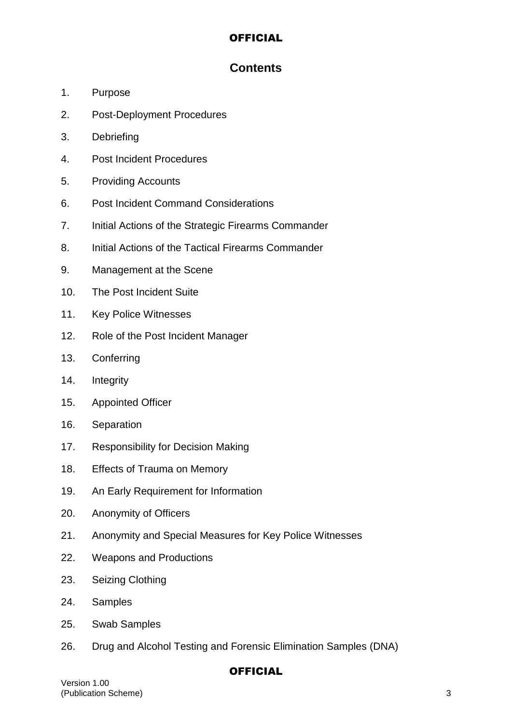## **Contents**

- 1. Purpose
- 2. Post-Deployment Procedures
- 3. Debriefing
- 4. Post Incident Procedures
- 5. Providing Accounts
- 6. Post Incident Command Considerations
- 7. Initial Actions of the Strategic Firearms Commander
- 8. Initial Actions of the Tactical Firearms Commander
- 9. Management at the Scene
- 10. The Post Incident Suite
- 11. Key Police Witnesses
- 12. Role of the Post Incident Manager
- 13. Conferring
- 14. Integrity
- 15. Appointed Officer
- 16. Separation
- 17. Responsibility for Decision Making
- 18. Effects of Trauma on Memory
- 19. An Early Requirement for Information
- 20. Anonymity of Officers
- 21. Anonymity and Special Measures for Key Police Witnesses
- 22. Weapons and Productions
- 23. Seizing Clothing
- 24. Samples
- 25. Swab Samples
- 26. Drug and Alcohol Testing and Forensic Elimination Samples (DNA)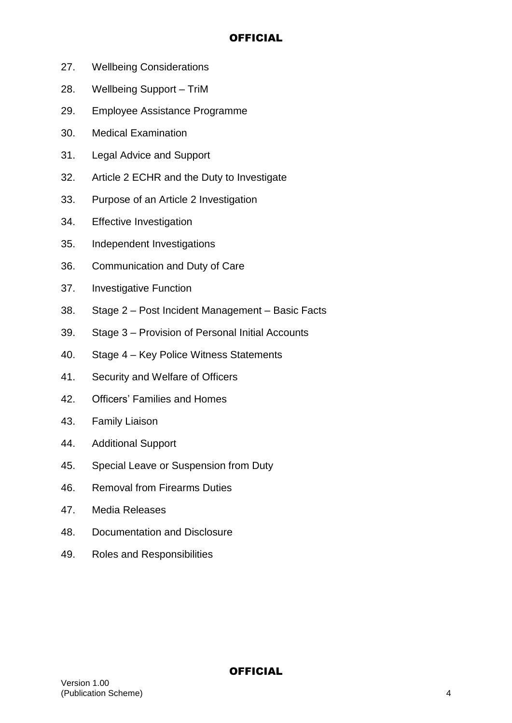- 27. Wellbeing Considerations
- 28. Wellbeing Support TriM
- 29. Employee Assistance Programme
- 30. Medical Examination
- 31. Legal Advice and Support
- 32. Article 2 ECHR and the Duty to Investigate
- 33. Purpose of an Article 2 Investigation
- 34. Effective Investigation
- 35. Independent Investigations
- 36. Communication and Duty of Care
- 37. Investigative Function
- 38. Stage 2 Post Incident Management Basic Facts
- 39. Stage 3 Provision of Personal Initial Accounts
- 40. Stage 4 Key Police Witness Statements
- 41. Security and Welfare of Officers
- 42. Officers' Families and Homes
- 43. Family Liaison
- 44. Additional Support
- 45. Special Leave or Suspension from Duty
- 46. Removal from Firearms Duties
- 47. Media Releases
- 48. Documentation and Disclosure
- 49. Roles and Responsibilities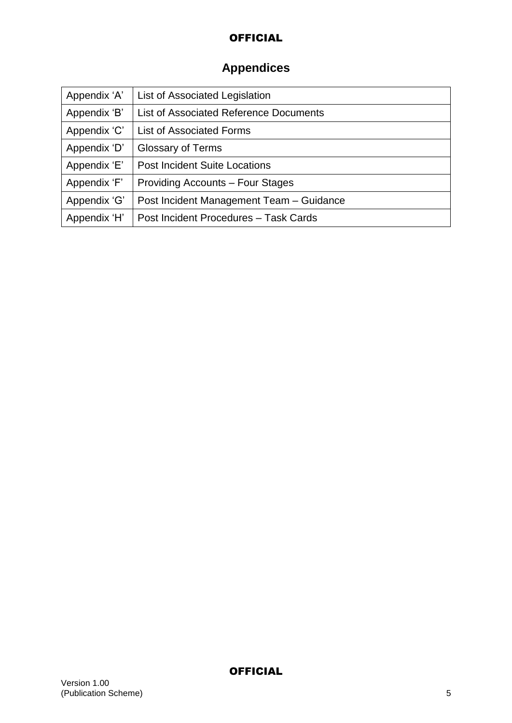# **Appendices**

| Appendix 'A' | List of Associated Legislation                |
|--------------|-----------------------------------------------|
| Appendix 'B' | <b>List of Associated Reference Documents</b> |
| Appendix 'C' | <b>List of Associated Forms</b>               |
| Appendix 'D' | <b>Glossary of Terms</b>                      |
| Appendix 'E' | <b>Post Incident Suite Locations</b>          |
| Appendix 'F' | <b>Providing Accounts – Four Stages</b>       |
| Appendix 'G' | Post Incident Management Team - Guidance      |
| Appendix 'H' | Post Incident Procedures - Task Cards         |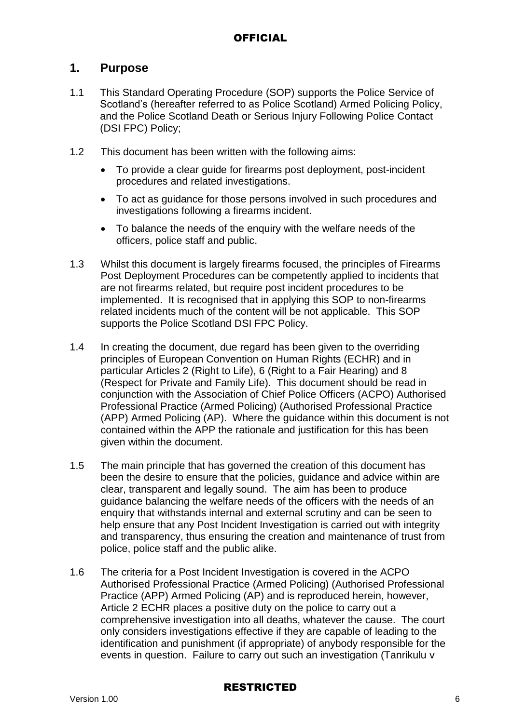## **1. Purpose**

- 1.1 This Standard Operating Procedure (SOP) supports the Police Service of Scotland's (hereafter referred to as Police Scotland) Armed Policing Policy, and the Police Scotland Death or Serious Injury Following Police Contact (DSI FPC) Policy;
- 1.2 This document has been written with the following aims:
	- To provide a clear guide for firearms post deployment, post-incident procedures and related investigations.
	- To act as guidance for those persons involved in such procedures and investigations following a firearms incident.
	- To balance the needs of the enquiry with the welfare needs of the officers, police staff and public.
- 1.3 Whilst this document is largely firearms focused, the principles of Firearms Post Deployment Procedures can be competently applied to incidents that are not firearms related, but require post incident procedures to be implemented. It is recognised that in applying this SOP to non-firearms related incidents much of the content will be not applicable. This SOP supports the Police Scotland DSI FPC Policy.
- 1.4 In creating the document, due regard has been given to the overriding principles of European Convention on Human Rights (ECHR) and in particular Articles 2 (Right to Life), 6 (Right to a Fair Hearing) and 8 (Respect for Private and Family Life). This document should be read in conjunction with the Association of Chief Police Officers (ACPO) Authorised Professional Practice (Armed Policing) (Authorised Professional Practice (APP) Armed Policing (AP). Where the guidance within this document is not contained within the APP the rationale and justification for this has been given within the document.
- 1.5 The main principle that has governed the creation of this document has been the desire to ensure that the policies, guidance and advice within are clear, transparent and legally sound. The aim has been to produce guidance balancing the welfare needs of the officers with the needs of an enquiry that withstands internal and external scrutiny and can be seen to help ensure that any Post Incident Investigation is carried out with integrity and transparency, thus ensuring the creation and maintenance of trust from police, police staff and the public alike.
- 1.6 The criteria for a Post Incident Investigation is covered in the ACPO Authorised Professional Practice (Armed Policing) (Authorised Professional Practice (APP) Armed Policing (AP) and is reproduced herein, however, Article 2 ECHR places a positive duty on the police to carry out a comprehensive investigation into all deaths, whatever the cause. The court only considers investigations effective if they are capable of leading to the identification and punishment (if appropriate) of anybody responsible for the events in question. Failure to carry out such an investigation (Tanrikulu v

### RESTRICTED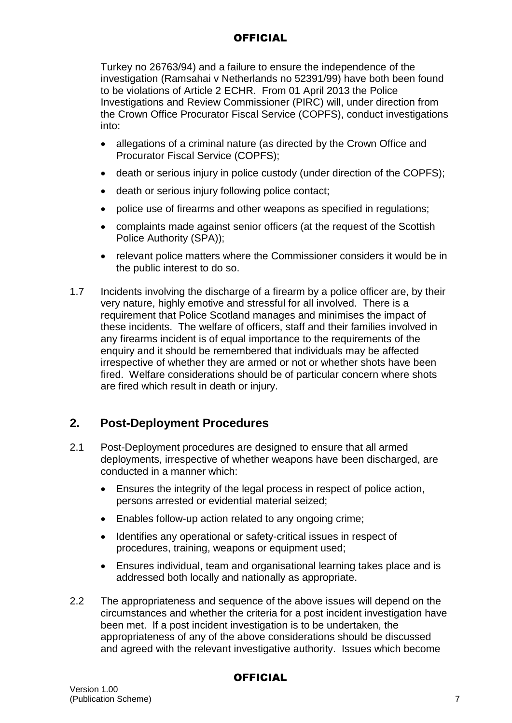Turkey no 26763/94) and a failure to ensure the independence of the investigation (Ramsahai v Netherlands no 52391/99) have both been found to be violations of Article 2 ECHR. From 01 April 2013 the Police Investigations and Review Commissioner (PIRC) will, under direction from the Crown Office Procurator Fiscal Service (COPFS), conduct investigations into:

- allegations of a criminal nature (as directed by the Crown Office and Procurator Fiscal Service (COPFS);
- death or serious injury in police custody (under direction of the COPFS);
- death or serious injury following police contact;
- police use of firearms and other weapons as specified in regulations;
- complaints made against senior officers (at the request of the Scottish Police Authority (SPA));
- relevant police matters where the Commissioner considers it would be in the public interest to do so.
- 1.7 Incidents involving the discharge of a firearm by a police officer are, by their very nature, highly emotive and stressful for all involved. There is a requirement that Police Scotland manages and minimises the impact of these incidents. The welfare of officers, staff and their families involved in any firearms incident is of equal importance to the requirements of the enquiry and it should be remembered that individuals may be affected irrespective of whether they are armed or not or whether shots have been fired. Welfare considerations should be of particular concern where shots are fired which result in death or injury.

## **2. Post-Deployment Procedures**

- 2.1 Post-Deployment procedures are designed to ensure that all armed deployments, irrespective of whether weapons have been discharged, are conducted in a manner which:
	- Ensures the integrity of the legal process in respect of police action, persons arrested or evidential material seized;
	- Enables follow-up action related to any ongoing crime;
	- Identifies any operational or safety-critical issues in respect of procedures, training, weapons or equipment used;
	- Ensures individual, team and organisational learning takes place and is addressed both locally and nationally as appropriate.
- 2.2 The appropriateness and sequence of the above issues will depend on the circumstances and whether the criteria for a post incident investigation have been met. If a post incident investigation is to be undertaken, the appropriateness of any of the above considerations should be discussed and agreed with the relevant investigative authority. Issues which become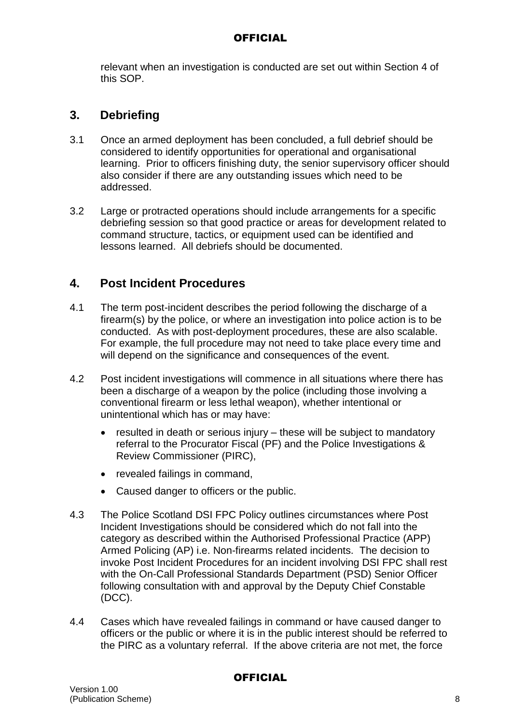relevant when an investigation is conducted are set out within Section 4 of this SOP.

## **3. Debriefing**

- 3.1 Once an armed deployment has been concluded, a full debrief should be considered to identify opportunities for operational and organisational learning. Prior to officers finishing duty, the senior supervisory officer should also consider if there are any outstanding issues which need to be addressed.
- 3.2 Large or protracted operations should include arrangements for a specific debriefing session so that good practice or areas for development related to command structure, tactics, or equipment used can be identified and lessons learned. All debriefs should be documented.

## **4. Post Incident Procedures**

- 4.1 The term post-incident describes the period following the discharge of a firearm(s) by the police, or where an investigation into police action is to be conducted. As with post-deployment procedures, these are also scalable. For example, the full procedure may not need to take place every time and will depend on the significance and consequences of the event.
- 4.2 Post incident investigations will commence in all situations where there has been a discharge of a weapon by the police (including those involving a conventional firearm or less lethal weapon), whether intentional or unintentional which has or may have:
	- resulted in death or serious injury these will be subject to mandatory referral to the Procurator Fiscal (PF) and the Police Investigations & Review Commissioner (PIRC),
	- revealed failings in command,
	- Caused danger to officers or the public.
- 4.3 The Police Scotland DSI FPC Policy outlines circumstances where Post Incident Investigations should be considered which do not fall into the category as described within the Authorised Professional Practice (APP) Armed Policing (AP) i.e. Non-firearms related incidents. The decision to invoke Post Incident Procedures for an incident involving DSI FPC shall rest with the On-Call Professional Standards Department (PSD) Senior Officer following consultation with and approval by the Deputy Chief Constable (DCC).
- 4.4 Cases which have revealed failings in command or have caused danger to officers or the public or where it is in the public interest should be referred to the PIRC as a voluntary referral. If the above criteria are not met, the force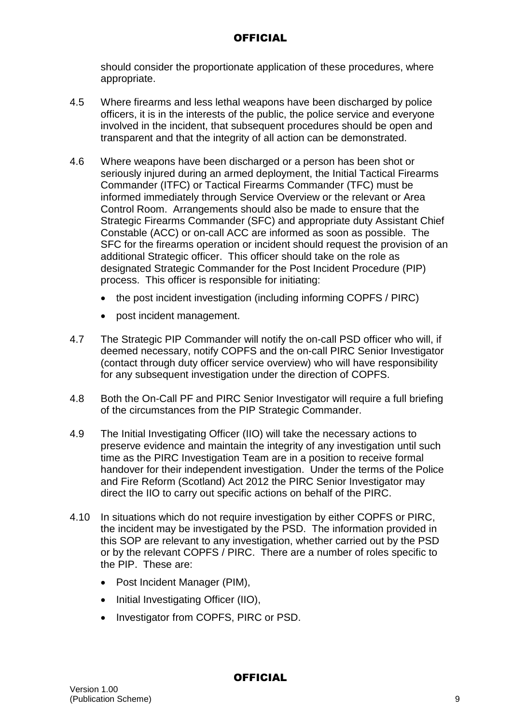should consider the proportionate application of these procedures, where appropriate.

- 4.5 Where firearms and less lethal weapons have been discharged by police officers, it is in the interests of the public, the police service and everyone involved in the incident, that subsequent procedures should be open and transparent and that the integrity of all action can be demonstrated.
- 4.6 Where weapons have been discharged or a person has been shot or seriously injured during an armed deployment, the Initial Tactical Firearms Commander (ITFC) or Tactical Firearms Commander (TFC) must be informed immediately through Service Overview or the relevant or Area Control Room. Arrangements should also be made to ensure that the Strategic Firearms Commander (SFC) and appropriate duty Assistant Chief Constable (ACC) or on-call ACC are informed as soon as possible. The SFC for the firearms operation or incident should request the provision of an additional Strategic officer. This officer should take on the role as designated Strategic Commander for the Post Incident Procedure (PIP) process. This officer is responsible for initiating:
	- the post incident investigation (including informing COPFS / PIRC)
	- post incident management.
- 4.7 The Strategic PIP Commander will notify the on-call PSD officer who will, if deemed necessary, notify COPFS and the on-call PIRC Senior Investigator (contact through duty officer service overview) who will have responsibility for any subsequent investigation under the direction of COPFS.
- 4.8 Both the On-Call PF and PIRC Senior Investigator will require a full briefing of the circumstances from the PIP Strategic Commander.
- 4.9 The Initial Investigating Officer (IIO) will take the necessary actions to preserve evidence and maintain the integrity of any investigation until such time as the PIRC Investigation Team are in a position to receive formal handover for their independent investigation. Under the terms of the Police and Fire Reform (Scotland) Act 2012 the PIRC Senior Investigator may direct the IIO to carry out specific actions on behalf of the PIRC.
- 4.10 In situations which do not require investigation by either COPFS or PIRC, the incident may be investigated by the PSD. The information provided in this SOP are relevant to any investigation, whether carried out by the PSD or by the relevant COPFS / PIRC. There are a number of roles specific to the PIP. These are:
	- Post Incident Manager (PIM),
	- Initial Investigating Officer (IIO),
	- Investigator from COPFS, PIRC or PSD.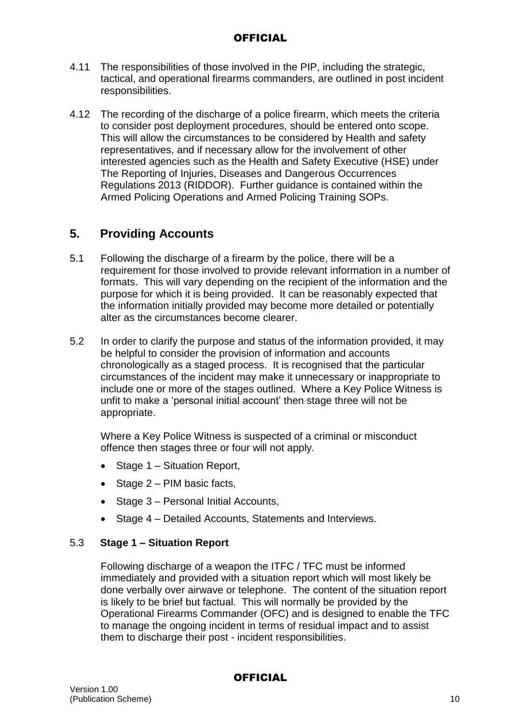- 4.11 The responsibilities of those involved in the PIP, including the strategic, tactical, and operational firearms commanders, are outlined in post incident responsibilities.
- 4.12 The recording of the discharge of a police firearm, which meets the criteria to consider post deployment procedures, should be entered onto scope. This will allow the circumstances to be considered by Health and safety representatives, and if necessary allow for the involvement of other interested agencies such as the Health and Safety Executive (HSE) under The Reporting of Injuries, Diseases and Dangerous Occurrences Regulations 2013 (RIDDOR). Further guidance is contained within the Armed Policing Operations and Armed Policing Training SOPs.

## **5. Providing Accounts**

- 5.1 Following the discharge of a firearm by the police, there will be a requirement for those involved to provide relevant information in a number of formats. This will vary depending on the recipient of the information and the purpose for which it is being provided. It can be reasonably expected that the information initially provided may become more detailed or potentially alter as the circumstances become clearer.
- 5.2 In order to clarify the purpose and status of the information provided, it may be helpful to consider the provision of information and accounts chronologically as a staged process. It is recognised that the particular circumstances of the incident may make it unnecessary or inappropriate to include one or more of the stages outlined. Where a Key Police Witness is unfit to make a 'personal initial account' then stage three will not be appropriate.

Where a Key Police Witness is suspected of a criminal or misconduct offence then stages three or four will not apply.

- Stage 1 Situation Report,
- $\bullet$  Stage 2 PIM basic facts,
- Stage 3 Personal Initial Accounts,
- Stage 4 Detailed Accounts, Statements and Interviews.

#### 5.3 **Stage 1 – Situation Report**

Following discharge of a weapon the ITFC / TFC must be informed immediately and provided with a situation report which will most likely be done verbally over airwave or telephone. The content of the situation report is likely to be brief but factual. This will normally be provided by the Operational Firearms Commander (OFC) and is designed to enable the TFC to manage the ongoing incident in terms of residual impact and to assist them to discharge their post - incident responsibilities.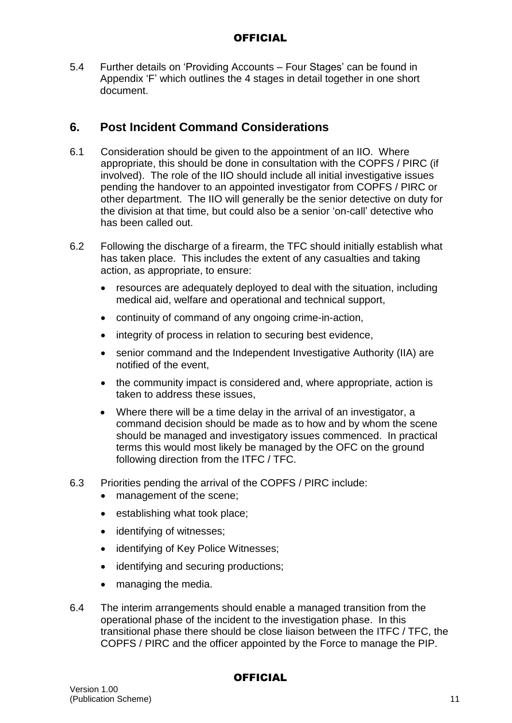5.4 Further details on 'Providing Accounts – Four Stages' can be found in Appendix 'F' which outlines the 4 stages in detail together in one short document.

## **6. Post Incident Command Considerations**

- 6.1 Consideration should be given to the appointment of an IIO. Where appropriate, this should be done in consultation with the COPFS / PIRC (if involved). The role of the IIO should include all initial investigative issues pending the handover to an appointed investigator from COPFS / PIRC or other department. The IIO will generally be the senior detective on duty for the division at that time, but could also be a senior 'on-call' detective who has been called out.
- 6.2 Following the discharge of a firearm, the TFC should initially establish what has taken place. This includes the extent of any casualties and taking action, as appropriate, to ensure:
	- resources are adequately deployed to deal with the situation, including medical aid, welfare and operational and technical support,
	- continuity of command of any ongoing crime-in-action,
	- integrity of process in relation to securing best evidence,
	- senior command and the Independent Investigative Authority (IIA) are notified of the event,
	- the community impact is considered and, where appropriate, action is taken to address these issues,
	- Where there will be a time delay in the arrival of an investigator, a command decision should be made as to how and by whom the scene should be managed and investigatory issues commenced. In practical terms this would most likely be managed by the OFC on the ground following direction from the ITFC / TFC.
- 6.3 Priorities pending the arrival of the COPFS / PIRC include:
	- management of the scene:
	- establishing what took place;
	- identifying of witnesses;
	- identifying of Key Police Witnesses:
	- identifying and securing productions;
	- managing the media.
- 6.4 The interim arrangements should enable a managed transition from the operational phase of the incident to the investigation phase. In this transitional phase there should be close liaison between the ITFC / TFC, the COPFS / PIRC and the officer appointed by the Force to manage the PIP.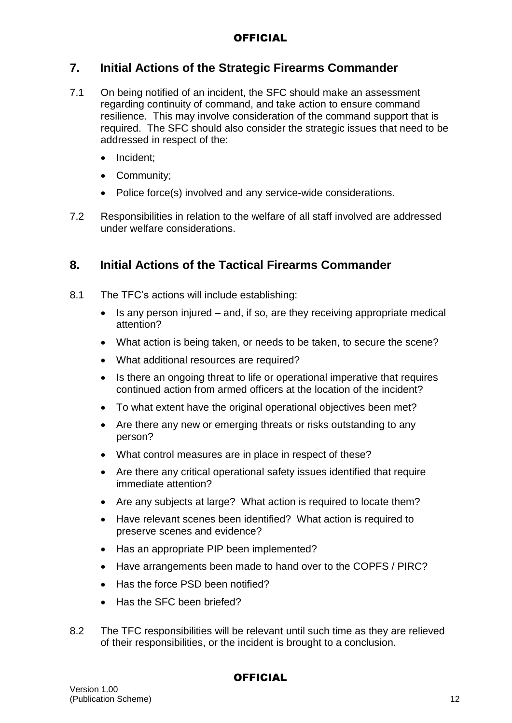## **7. Initial Actions of the Strategic Firearms Commander**

- 7.1 On being notified of an incident, the SFC should make an assessment regarding continuity of command, and take action to ensure command resilience. This may involve consideration of the command support that is required. The SFC should also consider the strategic issues that need to be addressed in respect of the:
	- Incident;
	- Community;
	- Police force(s) involved and any service-wide considerations.
- 7.2 Responsibilities in relation to the welfare of all staff involved are addressed under welfare considerations.

## **8. Initial Actions of the Tactical Firearms Commander**

- 8.1 The TFC's actions will include establishing:
	- $\bullet$  Is any person injured and, if so, are they receiving appropriate medical attention?
	- What action is being taken, or needs to be taken, to secure the scene?
	- What additional resources are required?
	- Is there an ongoing threat to life or operational imperative that requires continued action from armed officers at the location of the incident?
	- To what extent have the original operational objectives been met?
	- Are there any new or emerging threats or risks outstanding to any person?
	- What control measures are in place in respect of these?
	- Are there any critical operational safety issues identified that require immediate attention?
	- Are any subjects at large? What action is required to locate them?
	- Have relevant scenes been identified? What action is required to preserve scenes and evidence?
	- Has an appropriate PIP been implemented?
	- Have arrangements been made to hand over to the COPFS / PIRC?
	- Has the force PSD been notified?
	- Has the SFC been briefed?
- 8.2 The TFC responsibilities will be relevant until such time as they are relieved of their responsibilities, or the incident is brought to a conclusion.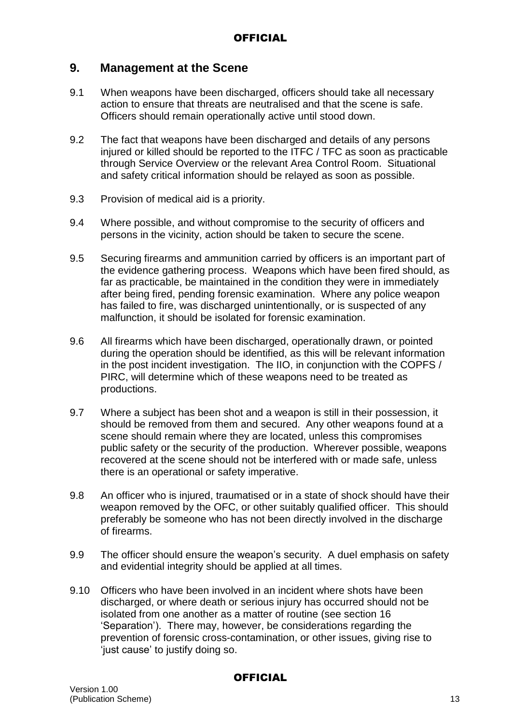## **9. Management at the Scene**

- 9.1 When weapons have been discharged, officers should take all necessary action to ensure that threats are neutralised and that the scene is safe. Officers should remain operationally active until stood down.
- 9.2 The fact that weapons have been discharged and details of any persons injured or killed should be reported to the ITFC / TFC as soon as practicable through Service Overview or the relevant Area Control Room. Situational and safety critical information should be relayed as soon as possible.
- 9.3 Provision of medical aid is a priority.
- 9.4 Where possible, and without compromise to the security of officers and persons in the vicinity, action should be taken to secure the scene.
- 9.5 Securing firearms and ammunition carried by officers is an important part of the evidence gathering process. Weapons which have been fired should, as far as practicable, be maintained in the condition they were in immediately after being fired, pending forensic examination. Where any police weapon has failed to fire, was discharged unintentionally, or is suspected of any malfunction, it should be isolated for forensic examination.
- 9.6 All firearms which have been discharged, operationally drawn, or pointed during the operation should be identified, as this will be relevant information in the post incident investigation. The IIO, in conjunction with the COPFS / PIRC, will determine which of these weapons need to be treated as productions.
- 9.7 Where a subject has been shot and a weapon is still in their possession, it should be removed from them and secured. Any other weapons found at a scene should remain where they are located, unless this compromises public safety or the security of the production. Wherever possible, weapons recovered at the scene should not be interfered with or made safe, unless there is an operational or safety imperative.
- 9.8 An officer who is injured, traumatised or in a state of shock should have their weapon removed by the OFC, or other suitably qualified officer. This should preferably be someone who has not been directly involved in the discharge of firearms.
- 9.9 The officer should ensure the weapon's security. A duel emphasis on safety and evidential integrity should be applied at all times.
- 9.10 Officers who have been involved in an incident where shots have been discharged, or where death or serious injury has occurred should not be isolated from one another as a matter of routine (see section 16 'Separation'). There may, however, be considerations regarding the prevention of forensic cross-contamination, or other issues, giving rise to 'just cause' to justify doing so.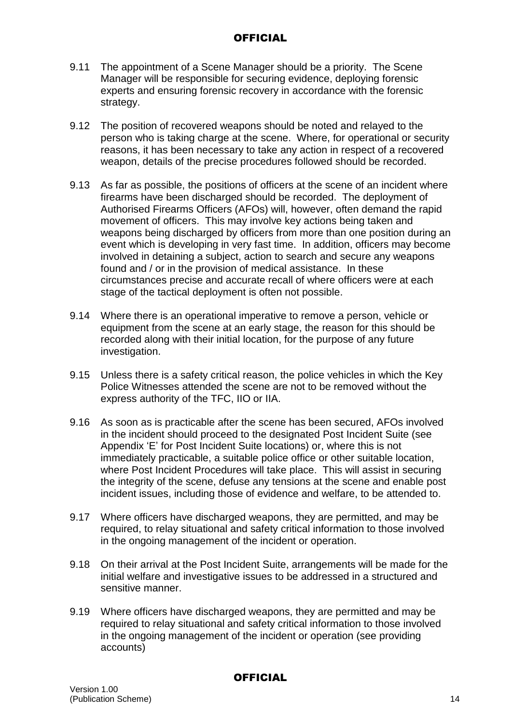- 9.11 The appointment of a Scene Manager should be a priority. The Scene Manager will be responsible for securing evidence, deploying forensic experts and ensuring forensic recovery in accordance with the forensic strategy.
- 9.12 The position of recovered weapons should be noted and relayed to the person who is taking charge at the scene. Where, for operational or security reasons, it has been necessary to take any action in respect of a recovered weapon, details of the precise procedures followed should be recorded.
- 9.13 As far as possible, the positions of officers at the scene of an incident where firearms have been discharged should be recorded. The deployment of Authorised Firearms Officers (AFOs) will, however, often demand the rapid movement of officers. This may involve key actions being taken and weapons being discharged by officers from more than one position during an event which is developing in very fast time. In addition, officers may become involved in detaining a subject, action to search and secure any weapons found and / or in the provision of medical assistance. In these circumstances precise and accurate recall of where officers were at each stage of the tactical deployment is often not possible.
- 9.14 Where there is an operational imperative to remove a person, vehicle or equipment from the scene at an early stage, the reason for this should be recorded along with their initial location, for the purpose of any future investigation.
- 9.15 Unless there is a safety critical reason, the police vehicles in which the Key Police Witnesses attended the scene are not to be removed without the express authority of the TFC, IIO or IIA.
- 9.16 As soon as is practicable after the scene has been secured, AFOs involved in the incident should proceed to the designated Post Incident Suite (see Appendix 'E' for Post Incident Suite locations) or, where this is not immediately practicable, a suitable police office or other suitable location, where Post Incident Procedures will take place. This will assist in securing the integrity of the scene, defuse any tensions at the scene and enable post incident issues, including those of evidence and welfare, to be attended to.
- 9.17 Where officers have discharged weapons, they are permitted, and may be required, to relay situational and safety critical information to those involved in the ongoing management of the incident or operation.
- 9.18 On their arrival at the Post Incident Suite, arrangements will be made for the initial welfare and investigative issues to be addressed in a structured and sensitive manner.
- 9.19 Where officers have discharged weapons, they are permitted and may be required to relay situational and safety critical information to those involved in the ongoing management of the incident or operation (see providing accounts)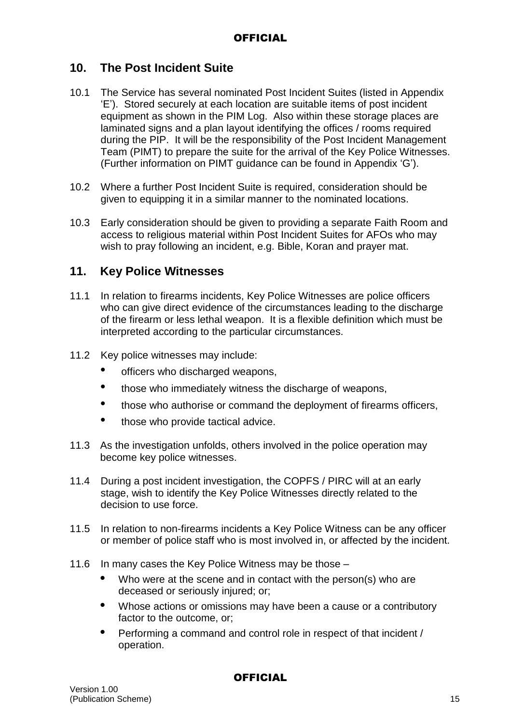## **10. The Post Incident Suite**

- 10.1 The Service has several nominated Post Incident Suites (listed in Appendix 'E'). Stored securely at each location are suitable items of post incident equipment as shown in the PIM Log. Also within these storage places are laminated signs and a plan layout identifying the offices / rooms required during the PIP. It will be the responsibility of the Post Incident Management Team (PIMT) to prepare the suite for the arrival of the Key Police Witnesses. (Further information on PIMT guidance can be found in Appendix 'G').
- 10.2 Where a further Post Incident Suite is required, consideration should be given to equipping it in a similar manner to the nominated locations.
- 10.3 Early consideration should be given to providing a separate Faith Room and access to religious material within Post Incident Suites for AFOs who may wish to pray following an incident, e.g. Bible, Koran and prayer mat.

## **11. Key Police Witnesses**

- 11.1 In relation to firearms incidents, Key Police Witnesses are police officers who can give direct evidence of the circumstances leading to the discharge of the firearm or less lethal weapon. It is a flexible definition which must be interpreted according to the particular circumstances.
- 11.2 Key police witnesses may include:
	- officers who discharged weapons,
	- those who immediately witness the discharge of weapons,
	- those who authorise or command the deployment of firearms officers,
	- those who provide tactical advice.
- 11.3 As the investigation unfolds, others involved in the police operation may become key police witnesses.
- 11.4 During a post incident investigation, the COPFS / PIRC will at an early stage, wish to identify the Key Police Witnesses directly related to the decision to use force.
- 11.5 In relation to non-firearms incidents a Key Police Witness can be any officer or member of police staff who is most involved in, or affected by the incident.
- 11.6 In many cases the Key Police Witness may be those
	- **•** Who were at the scene and in contact with the person(s) who are deceased or seriously injured; or;
	- **•** Whose actions or omissions may have been a cause or a contributory factor to the outcome, or;
	- **•** Performing a command and control role in respect of that incident / operation.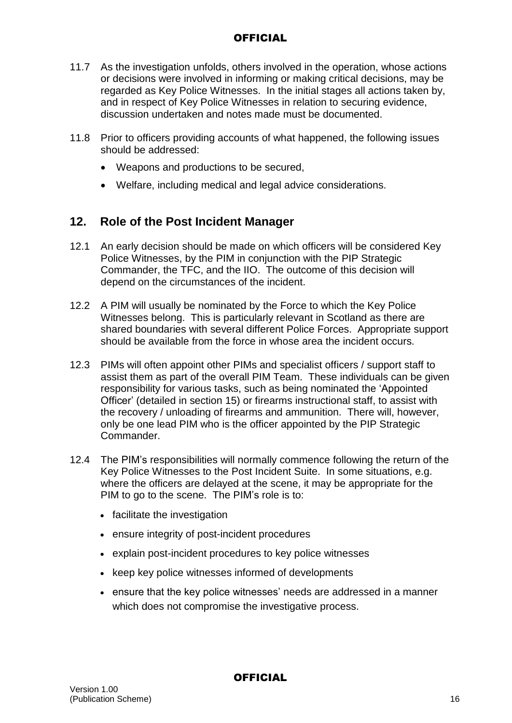- 11.7 As the investigation unfolds, others involved in the operation, whose actions or decisions were involved in informing or making critical decisions, may be regarded as Key Police Witnesses. In the initial stages all actions taken by, and in respect of Key Police Witnesses in relation to securing evidence, discussion undertaken and notes made must be documented.
- 11.8 Prior to officers providing accounts of what happened, the following issues should be addressed:
	- Weapons and productions to be secured,
	- Welfare, including medical and legal advice considerations.

## **12. Role of the Post Incident Manager**

- 12.1 An early decision should be made on which officers will be considered Key Police Witnesses, by the PIM in conjunction with the PIP Strategic Commander, the TFC, and the IIO. The outcome of this decision will depend on the circumstances of the incident.
- 12.2 A PIM will usually be nominated by the Force to which the Key Police Witnesses belong. This is particularly relevant in Scotland as there are shared boundaries with several different Police Forces. Appropriate support should be available from the force in whose area the incident occurs.
- 12.3 PIMs will often appoint other PIMs and specialist officers / support staff to assist them as part of the overall PIM Team. These individuals can be given responsibility for various tasks, such as being nominated the 'Appointed Officer' (detailed in section 15) or firearms instructional staff, to assist with the recovery / unloading of firearms and ammunition. There will, however, only be one lead PIM who is the officer appointed by the PIP Strategic Commander.
- 12.4 The PIM's responsibilities will normally commence following the return of the Key Police Witnesses to the Post Incident Suite. In some situations, e.g. where the officers are delayed at the scene, it may be appropriate for the PIM to go to the scene. The PIM's role is to:
	- facilitate the investigation
	- ensure integrity of post-incident procedures
	- explain post-incident procedures to key police witnesses
	- keep key police witnesses informed of developments
	- ensure that the key police witnesses' needs are addressed in a manner which does not compromise the investigative process.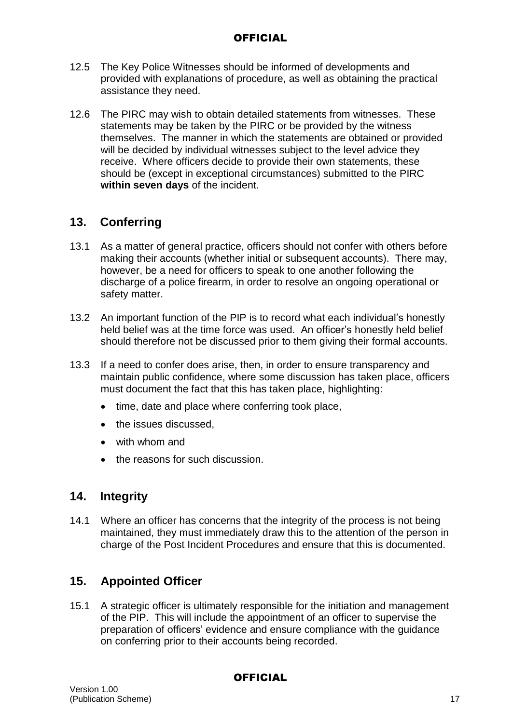- 12.5 The Key Police Witnesses should be informed of developments and provided with explanations of procedure, as well as obtaining the practical assistance they need.
- 12.6 The PIRC may wish to obtain detailed statements from witnesses. These statements may be taken by the PIRC or be provided by the witness themselves. The manner in which the statements are obtained or provided will be decided by individual witnesses subject to the level advice they receive. Where officers decide to provide their own statements, these should be (except in exceptional circumstances) submitted to the PIRC **within seven days** of the incident.

## **13. Conferring**

- 13.1 As a matter of general practice, officers should not confer with others before making their accounts (whether initial or subsequent accounts). There may, however, be a need for officers to speak to one another following the discharge of a police firearm, in order to resolve an ongoing operational or safety matter.
- 13.2 An important function of the PIP is to record what each individual's honestly held belief was at the time force was used. An officer's honestly held belief should therefore not be discussed prior to them giving their formal accounts.
- 13.3 If a need to confer does arise, then, in order to ensure transparency and maintain public confidence, where some discussion has taken place, officers must document the fact that this has taken place, highlighting:
	- time, date and place where conferring took place,
	- the issues discussed.
	- with whom and
	- the reasons for such discussion.

## **14. Integrity**

14.1 Where an officer has concerns that the integrity of the process is not being maintained, they must immediately draw this to the attention of the person in charge of the Post Incident Procedures and ensure that this is documented.

## **15. Appointed Officer**

15.1 A strategic officer is ultimately responsible for the initiation and management of the PIP. This will include the appointment of an officer to supervise the preparation of officers' evidence and ensure compliance with the guidance on conferring prior to their accounts being recorded.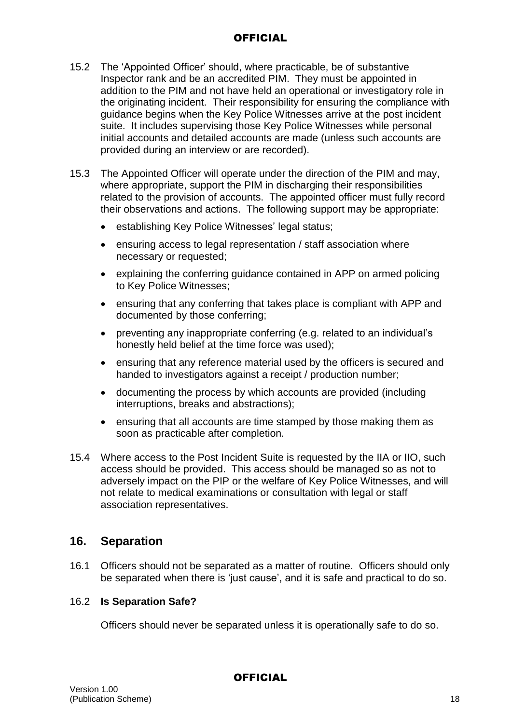- 15.2 The 'Appointed Officer' should, where practicable, be of substantive Inspector rank and be an accredited PIM. They must be appointed in addition to the PIM and not have held an operational or investigatory role in the originating incident. Their responsibility for ensuring the compliance with guidance begins when the Key Police Witnesses arrive at the post incident suite. It includes supervising those Key Police Witnesses while personal initial accounts and detailed accounts are made (unless such accounts are provided during an interview or are recorded).
- 15.3 The Appointed Officer will operate under the direction of the PIM and may, where appropriate, support the PIM in discharging their responsibilities related to the provision of accounts. The appointed officer must fully record their observations and actions. The following support may be appropriate:
	- establishing Key Police Witnesses' legal status;
	- ensuring access to legal representation / staff association where necessary or requested;
	- explaining the conferring guidance contained in APP on armed policing to Key Police Witnesses;
	- ensuring that any conferring that takes place is compliant with APP and documented by those conferring;
	- preventing any inappropriate conferring (e.g. related to an individual's honestly held belief at the time force was used);
	- ensuring that any reference material used by the officers is secured and handed to investigators against a receipt / production number;
	- documenting the process by which accounts are provided (including interruptions, breaks and abstractions);
	- ensuring that all accounts are time stamped by those making them as soon as practicable after completion.
- 15.4 Where access to the Post Incident Suite is requested by the IIA or IIO, such access should be provided. This access should be managed so as not to adversely impact on the PIP or the welfare of Key Police Witnesses, and will not relate to medical examinations or consultation with legal or staff association representatives.

### **16. Separation**

16.1 Officers should not be separated as a matter of routine. Officers should only be separated when there is 'just cause', and it is safe and practical to do so.

#### 16.2 **Is Separation Safe?**

Officers should never be separated unless it is operationally safe to do so.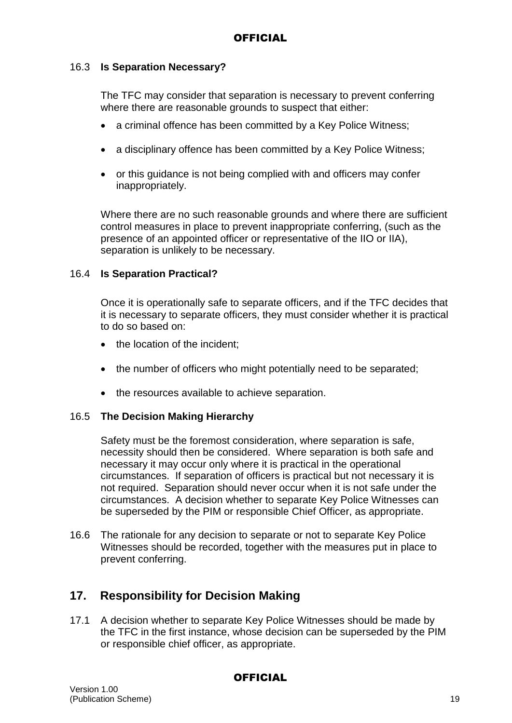### 16.3 **Is Separation Necessary?**

The TFC may consider that separation is necessary to prevent conferring where there are reasonable grounds to suspect that either:

- a criminal offence has been committed by a Key Police Witness;
- a disciplinary offence has been committed by a Key Police Witness;
- or this guidance is not being complied with and officers may confer inappropriately.

Where there are no such reasonable grounds and where there are sufficient control measures in place to prevent inappropriate conferring, (such as the presence of an appointed officer or representative of the IIO or IIA), separation is unlikely to be necessary.

#### 16.4 **Is Separation Practical?**

Once it is operationally safe to separate officers, and if the TFC decides that it is necessary to separate officers, they must consider whether it is practical to do so based on:

- the location of the incident:
- the number of officers who might potentially need to be separated;
- the resources available to achieve separation.

#### 16.5 **The Decision Making Hierarchy**

Safety must be the foremost consideration, where separation is safe, necessity should then be considered. Where separation is both safe and necessary it may occur only where it is practical in the operational circumstances. If separation of officers is practical but not necessary it is not required. Separation should never occur when it is not safe under the circumstances. A decision whether to separate Key Police Witnesses can be superseded by the PIM or responsible Chief Officer, as appropriate.

16.6 The rationale for any decision to separate or not to separate Key Police Witnesses should be recorded, together with the measures put in place to prevent conferring.

## **17. Responsibility for Decision Making**

17.1 A decision whether to separate Key Police Witnesses should be made by the TFC in the first instance, whose decision can be superseded by the PIM or responsible chief officer, as appropriate.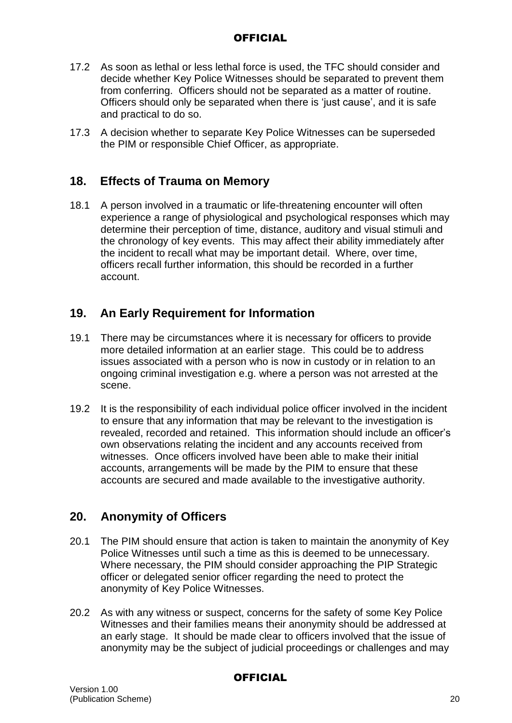- 17.2 As soon as lethal or less lethal force is used, the TFC should consider and decide whether Key Police Witnesses should be separated to prevent them from conferring. Officers should not be separated as a matter of routine. Officers should only be separated when there is 'just cause', and it is safe and practical to do so.
- 17.3 A decision whether to separate Key Police Witnesses can be superseded the PIM or responsible Chief Officer, as appropriate.

## **18. Effects of Trauma on Memory**

18.1 A person involved in a traumatic or life-threatening encounter will often experience a range of physiological and psychological responses which may determine their perception of time, distance, auditory and visual stimuli and the chronology of key events. This may affect their ability immediately after the incident to recall what may be important detail. Where, over time, officers recall further information, this should be recorded in a further account.

## **19. An Early Requirement for Information**

- 19.1 There may be circumstances where it is necessary for officers to provide more detailed information at an earlier stage. This could be to address issues associated with a person who is now in custody or in relation to an ongoing criminal investigation e.g. where a person was not arrested at the scene.
- 19.2 It is the responsibility of each individual police officer involved in the incident to ensure that any information that may be relevant to the investigation is revealed, recorded and retained. This information should include an officer's own observations relating the incident and any accounts received from witnesses. Once officers involved have been able to make their initial accounts, arrangements will be made by the PIM to ensure that these accounts are secured and made available to the investigative authority.

## **20. Anonymity of Officers**

- 20.1 The PIM should ensure that action is taken to maintain the anonymity of Key Police Witnesses until such a time as this is deemed to be unnecessary. Where necessary, the PIM should consider approaching the PIP Strategic officer or delegated senior officer regarding the need to protect the anonymity of Key Police Witnesses.
- 20.2 As with any witness or suspect, concerns for the safety of some Key Police Witnesses and their families means their anonymity should be addressed at an early stage. It should be made clear to officers involved that the issue of anonymity may be the subject of judicial proceedings or challenges and may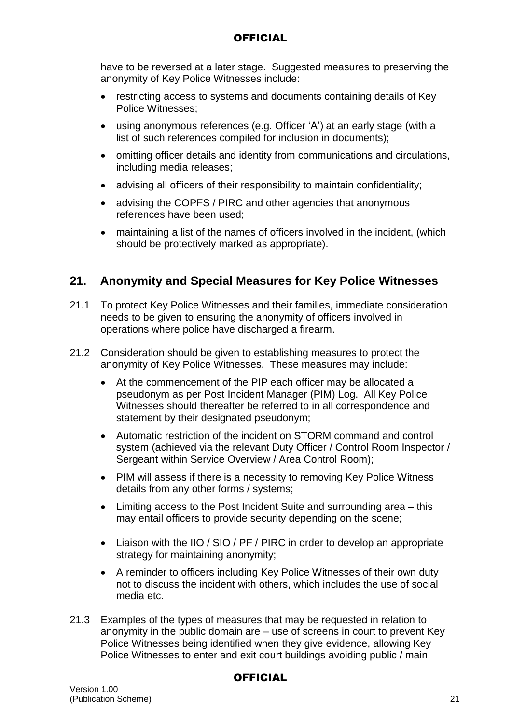have to be reversed at a later stage. Suggested measures to preserving the anonymity of Key Police Witnesses include:

- restricting access to systems and documents containing details of Key Police Witnesses;
- using anonymous references (e.g. Officer 'A') at an early stage (with a list of such references compiled for inclusion in documents);
- omitting officer details and identity from communications and circulations, including media releases;
- advising all officers of their responsibility to maintain confidentiality;
- advising the COPFS / PIRC and other agencies that anonymous references have been used;
- maintaining a list of the names of officers involved in the incident, (which should be protectively marked as appropriate).

## **21. Anonymity and Special Measures for Key Police Witnesses**

- 21.1 To protect Key Police Witnesses and their families, immediate consideration needs to be given to ensuring the anonymity of officers involved in operations where police have discharged a firearm.
- 21.2 Consideration should be given to establishing measures to protect the anonymity of Key Police Witnesses. These measures may include:
	- At the commencement of the PIP each officer may be allocated a pseudonym as per Post Incident Manager (PIM) Log. All Key Police Witnesses should thereafter be referred to in all correspondence and statement by their designated pseudonym;
	- Automatic restriction of the incident on STORM command and control system (achieved via the relevant Duty Officer / Control Room Inspector / Sergeant within Service Overview / Area Control Room);
	- PIM will assess if there is a necessity to removing Key Police Witness details from any other forms / systems;
	- Limiting access to the Post Incident Suite and surrounding area this may entail officers to provide security depending on the scene;
	- Liaison with the IIO / SIO / PF / PIRC in order to develop an appropriate strategy for maintaining anonymity;
	- A reminder to officers including Key Police Witnesses of their own duty not to discuss the incident with others, which includes the use of social media etc.
- 21.3 Examples of the types of measures that may be requested in relation to anonymity in the public domain are – use of screens in court to prevent Key Police Witnesses being identified when they give evidence, allowing Key Police Witnesses to enter and exit court buildings avoiding public / main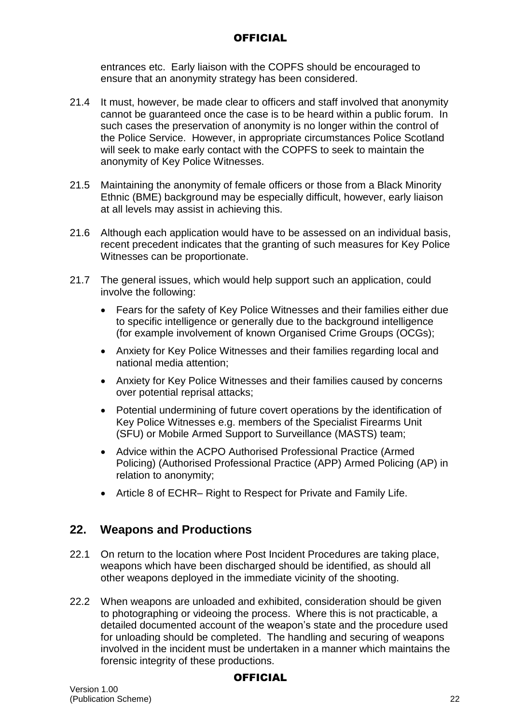entrances etc. Early liaison with the COPFS should be encouraged to ensure that an anonymity strategy has been considered.

- 21.4 It must, however, be made clear to officers and staff involved that anonymity cannot be guaranteed once the case is to be heard within a public forum. In such cases the preservation of anonymity is no longer within the control of the Police Service. However, in appropriate circumstances Police Scotland will seek to make early contact with the COPFS to seek to maintain the anonymity of Key Police Witnesses.
- 21.5 Maintaining the anonymity of female officers or those from a Black Minority Ethnic (BME) background may be especially difficult, however, early liaison at all levels may assist in achieving this.
- 21.6 Although each application would have to be assessed on an individual basis, recent precedent indicates that the granting of such measures for Key Police Witnesses can be proportionate.
- 21.7 The general issues, which would help support such an application, could involve the following:
	- Fears for the safety of Key Police Witnesses and their families either due to specific intelligence or generally due to the background intelligence (for example involvement of known Organised Crime Groups (OCGs);
	- Anxiety for Key Police Witnesses and their families regarding local and national media attention;
	- Anxiety for Key Police Witnesses and their families caused by concerns over potential reprisal attacks;
	- Potential undermining of future covert operations by the identification of Key Police Witnesses e.g. members of the Specialist Firearms Unit (SFU) or Mobile Armed Support to Surveillance (MASTS) team;
	- Advice within the ACPO Authorised Professional Practice (Armed Policing) (Authorised Professional Practice (APP) Armed Policing (AP) in relation to anonymity;
	- Article 8 of ECHR– Right to Respect for Private and Family Life.

## **22. Weapons and Productions**

- 22.1 On return to the location where Post Incident Procedures are taking place, weapons which have been discharged should be identified, as should all other weapons deployed in the immediate vicinity of the shooting.
- 22.2 When weapons are unloaded and exhibited, consideration should be given to photographing or videoing the process. Where this is not practicable, a detailed documented account of the weapon's state and the procedure used for unloading should be completed. The handling and securing of weapons involved in the incident must be undertaken in a manner which maintains the forensic integrity of these productions.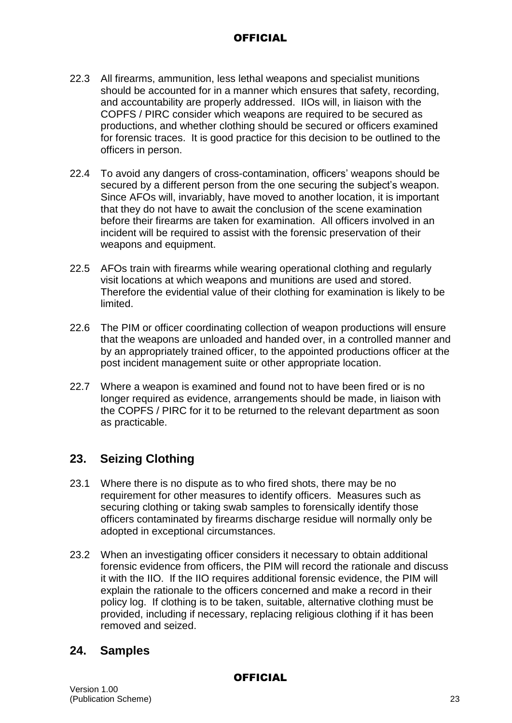- 22.3 All firearms, ammunition, less lethal weapons and specialist munitions should be accounted for in a manner which ensures that safety, recording, and accountability are properly addressed. IIOs will, in liaison with the COPFS / PIRC consider which weapons are required to be secured as productions, and whether clothing should be secured or officers examined for forensic traces. It is good practice for this decision to be outlined to the officers in person.
- 22.4 To avoid any dangers of cross-contamination, officers' weapons should be secured by a different person from the one securing the subject's weapon. Since AFOs will, invariably, have moved to another location, it is important that they do not have to await the conclusion of the scene examination before their firearms are taken for examination. All officers involved in an incident will be required to assist with the forensic preservation of their weapons and equipment.
- 22.5 AFOs train with firearms while wearing operational clothing and regularly visit locations at which weapons and munitions are used and stored. Therefore the evidential value of their clothing for examination is likely to be limited.
- 22.6 The PIM or officer coordinating collection of weapon productions will ensure that the weapons are unloaded and handed over, in a controlled manner and by an appropriately trained officer, to the appointed productions officer at the post incident management suite or other appropriate location.
- 22.7 Where a weapon is examined and found not to have been fired or is no longer required as evidence, arrangements should be made, in liaison with the COPFS / PIRC for it to be returned to the relevant department as soon as practicable.

## **23. Seizing Clothing**

- 23.1 Where there is no dispute as to who fired shots, there may be no requirement for other measures to identify officers. Measures such as securing clothing or taking swab samples to forensically identify those officers contaminated by firearms discharge residue will normally only be adopted in exceptional circumstances.
- 23.2 When an investigating officer considers it necessary to obtain additional forensic evidence from officers, the PIM will record the rationale and discuss it with the IIO. If the IIO requires additional forensic evidence, the PIM will explain the rationale to the officers concerned and make a record in their policy log. If clothing is to be taken, suitable, alternative clothing must be provided, including if necessary, replacing religious clothing if it has been removed and seized.

## **24. Samples**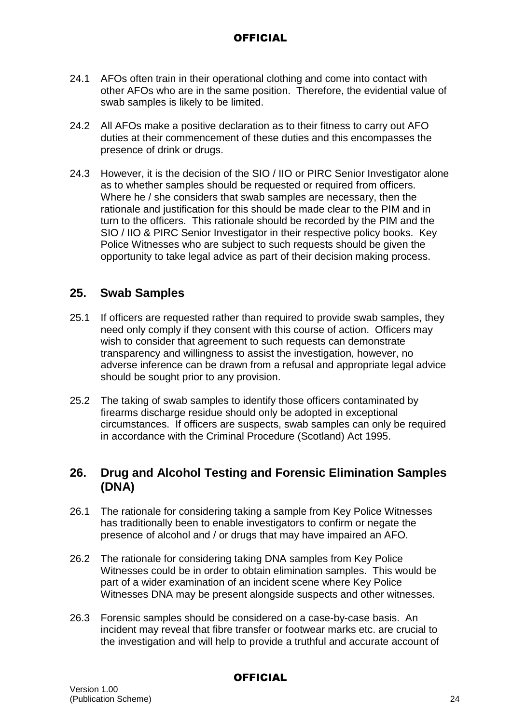- 24.1 AFOs often train in their operational clothing and come into contact with other AFOs who are in the same position. Therefore, the evidential value of swab samples is likely to be limited.
- 24.2 All AFOs make a positive declaration as to their fitness to carry out AFO duties at their commencement of these duties and this encompasses the presence of drink or drugs.
- 24.3 However, it is the decision of the SIO / IIO or PIRC Senior Investigator alone as to whether samples should be requested or required from officers. Where he / she considers that swab samples are necessary, then the rationale and justification for this should be made clear to the PIM and in turn to the officers. This rationale should be recorded by the PIM and the SIO / IIO & PIRC Senior Investigator in their respective policy books. Key Police Witnesses who are subject to such requests should be given the opportunity to take legal advice as part of their decision making process.

## **25. Swab Samples**

- 25.1 If officers are requested rather than required to provide swab samples, they need only comply if they consent with this course of action. Officers may wish to consider that agreement to such requests can demonstrate transparency and willingness to assist the investigation, however, no adverse inference can be drawn from a refusal and appropriate legal advice should be sought prior to any provision.
- 25.2 The taking of swab samples to identify those officers contaminated by firearms discharge residue should only be adopted in exceptional circumstances. If officers are suspects, swab samples can only be required in accordance with the Criminal Procedure (Scotland) Act 1995.

## **26. Drug and Alcohol Testing and Forensic Elimination Samples (DNA)**

- 26.1 The rationale for considering taking a sample from Key Police Witnesses has traditionally been to enable investigators to confirm or negate the presence of alcohol and / or drugs that may have impaired an AFO.
- 26.2 The rationale for considering taking DNA samples from Key Police Witnesses could be in order to obtain elimination samples. This would be part of a wider examination of an incident scene where Key Police Witnesses DNA may be present alongside suspects and other witnesses.
- 26.3 Forensic samples should be considered on a case-by-case basis. An incident may reveal that fibre transfer or footwear marks etc. are crucial to the investigation and will help to provide a truthful and accurate account of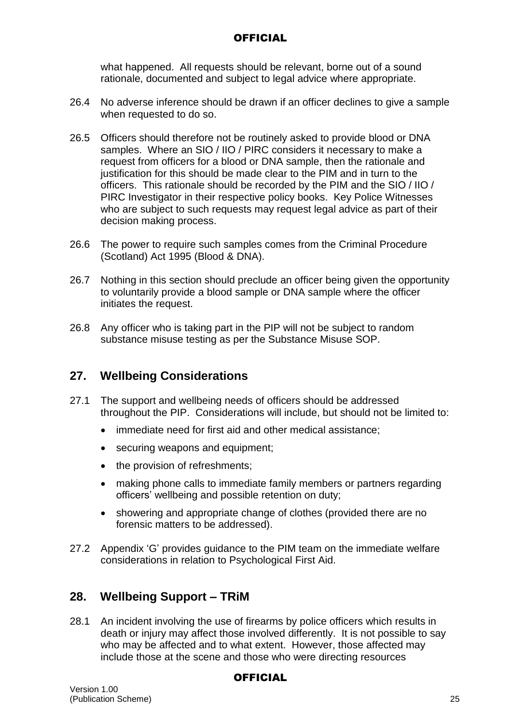what happened. All requests should be relevant, borne out of a sound rationale, documented and subject to legal advice where appropriate.

- 26.4 No adverse inference should be drawn if an officer declines to give a sample when requested to do so.
- 26.5 Officers should therefore not be routinely asked to provide blood or DNA samples. Where an SIO / IIO / PIRC considers it necessary to make a request from officers for a blood or DNA sample, then the rationale and justification for this should be made clear to the PIM and in turn to the officers. This rationale should be recorded by the PIM and the SIO / IIO / PIRC Investigator in their respective policy books. Key Police Witnesses who are subject to such requests may request legal advice as part of their decision making process.
- 26.6 The power to require such samples comes from the Criminal Procedure (Scotland) Act 1995 (Blood & DNA).
- 26.7 Nothing in this section should preclude an officer being given the opportunity to voluntarily provide a blood sample or DNA sample where the officer initiates the request.
- 26.8 Any officer who is taking part in the PIP will not be subject to random substance misuse testing as per the Substance Misuse SOP.

## **27. Wellbeing Considerations**

- 27.1 The support and wellbeing needs of officers should be addressed throughout the PIP. Considerations will include, but should not be limited to:
	- immediate need for first aid and other medical assistance;
	- securing weapons and equipment;
	- the provision of refreshments;
	- making phone calls to immediate family members or partners regarding officers' wellbeing and possible retention on duty;
	- showering and appropriate change of clothes (provided there are no forensic matters to be addressed).
- 27.2 Appendix 'G' provides guidance to the PIM team on the immediate welfare considerations in relation to Psychological First Aid.

## **28. Wellbeing Support – TRiM**

28.1 An incident involving the use of firearms by police officers which results in death or injury may affect those involved differently. It is not possible to say who may be affected and to what extent. However, those affected may include those at the scene and those who were directing resources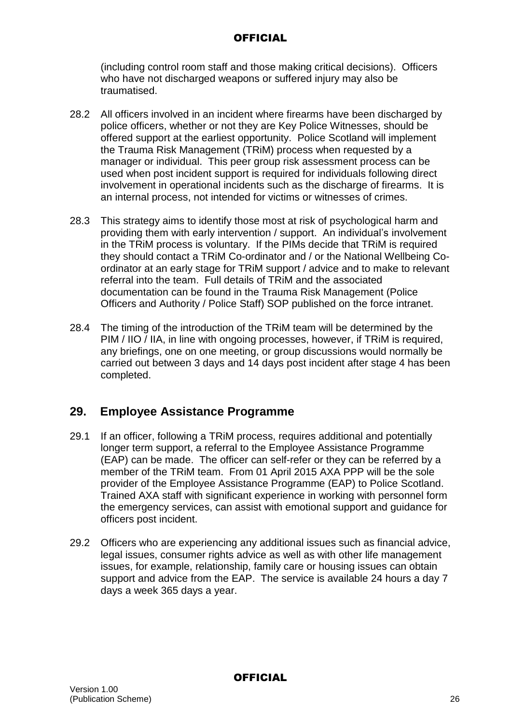(including control room staff and those making critical decisions). Officers who have not discharged weapons or suffered injury may also be traumatised.

- 28.2 All officers involved in an incident where firearms have been discharged by police officers, whether or not they are Key Police Witnesses, should be offered support at the earliest opportunity. Police Scotland will implement the Trauma Risk Management (TRiM) process when requested by a manager or individual. This peer group risk assessment process can be used when post incident support is required for individuals following direct involvement in operational incidents such as the discharge of firearms. It is an internal process, not intended for victims or witnesses of crimes.
- 28.3 This strategy aims to identify those most at risk of psychological harm and providing them with early intervention / support. An individual's involvement in the TRiM process is voluntary. If the PIMs decide that TRiM is required they should contact a TRiM Co-ordinator and / or the National Wellbeing Coordinator at an early stage for TRiM support / advice and to make to relevant referral into the team. Full details of TRiM and the associated documentation can be found in the Trauma Risk Management (Police Officers and Authority / Police Staff) SOP published on the force intranet.
- 28.4 The timing of the introduction of the TRiM team will be determined by the PIM / IIO / IIA, in line with ongoing processes, however, if TRiM is required, any briefings, one on one meeting, or group discussions would normally be carried out between 3 days and 14 days post incident after stage 4 has been completed.

## **29. Employee Assistance Programme**

- 29.1 If an officer, following a TRiM process, requires additional and potentially longer term support, a referral to the Employee Assistance Programme (EAP) can be made. The officer can self-refer or they can be referred by a member of the TRiM team. From 01 April 2015 AXA PPP will be the sole provider of the Employee Assistance Programme (EAP) to Police Scotland. Trained AXA staff with significant experience in working with personnel form the emergency services, can assist with emotional support and guidance for officers post incident.
- 29.2 Officers who are experiencing any additional issues such as financial advice, legal issues, consumer rights advice as well as with other life management issues, for example, relationship, family care or housing issues can obtain support and advice from the EAP. The service is available 24 hours a day 7 days a week 365 days a year.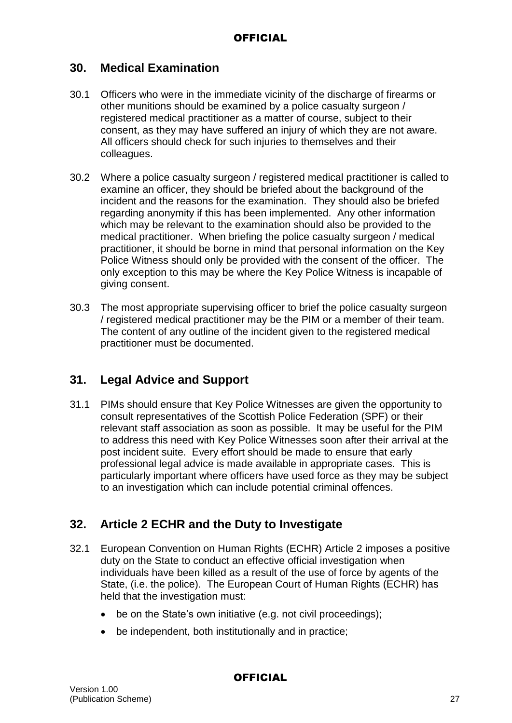## **30. Medical Examination**

- 30.1 Officers who were in the immediate vicinity of the discharge of firearms or other munitions should be examined by a police casualty surgeon / registered medical practitioner as a matter of course, subject to their consent, as they may have suffered an injury of which they are not aware. All officers should check for such injuries to themselves and their colleagues.
- 30.2 Where a police casualty surgeon / registered medical practitioner is called to examine an officer, they should be briefed about the background of the incident and the reasons for the examination. They should also be briefed regarding anonymity if this has been implemented. Any other information which may be relevant to the examination should also be provided to the medical practitioner. When briefing the police casualty surgeon / medical practitioner, it should be borne in mind that personal information on the Key Police Witness should only be provided with the consent of the officer. The only exception to this may be where the Key Police Witness is incapable of giving consent.
- 30.3 The most appropriate supervising officer to brief the police casualty surgeon / registered medical practitioner may be the PIM or a member of their team. The content of any outline of the incident given to the registered medical practitioner must be documented.

## **31. Legal Advice and Support**

31.1 PIMs should ensure that Key Police Witnesses are given the opportunity to consult representatives of the Scottish Police Federation (SPF) or their relevant staff association as soon as possible. It may be useful for the PIM to address this need with Key Police Witnesses soon after their arrival at the post incident suite. Every effort should be made to ensure that early professional legal advice is made available in appropriate cases. This is particularly important where officers have used force as they may be subject to an investigation which can include potential criminal offences.

## **32. Article 2 ECHR and the Duty to Investigate**

- 32.1 European Convention on Human Rights (ECHR) Article 2 imposes a positive duty on the State to conduct an effective official investigation when individuals have been killed as a result of the use of force by agents of the State, (i.e. the police). The European Court of Human Rights (ECHR) has held that the investigation must:
	- be on the State's own initiative (e.g. not civil proceedings);
	- be independent, both institutionally and in practice;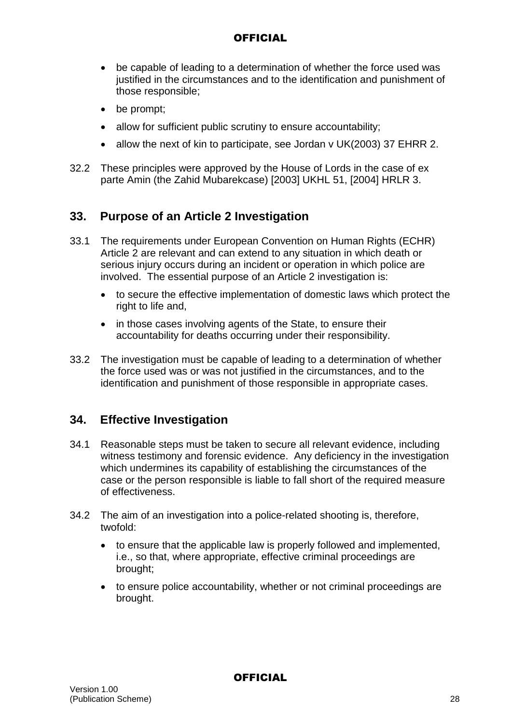- be capable of leading to a determination of whether the force used was justified in the circumstances and to the identification and punishment of those responsible;
- be prompt;
- allow for sufficient public scrutiny to ensure accountability;
- allow the next of kin to participate, see Jordan v UK(2003) 37 EHRR 2.
- 32.2 These principles were approved by the House of Lords in the case of ex parte Amin (the Zahid Mubarekcase) [2003] UKHL 51, [2004] HRLR 3.

## **33. Purpose of an Article 2 Investigation**

- 33.1 The requirements under European Convention on Human Rights (ECHR) Article 2 are relevant and can extend to any situation in which death or serious injury occurs during an incident or operation in which police are involved. The essential purpose of an Article 2 investigation is:
	- to secure the effective implementation of domestic laws which protect the right to life and.
	- in those cases involving agents of the State, to ensure their accountability for deaths occurring under their responsibility.
- 33.2 The investigation must be capable of leading to a determination of whether the force used was or was not justified in the circumstances, and to the identification and punishment of those responsible in appropriate cases.

## **34. Effective Investigation**

- 34.1 Reasonable steps must be taken to secure all relevant evidence, including witness testimony and forensic evidence. Any deficiency in the investigation which undermines its capability of establishing the circumstances of the case or the person responsible is liable to fall short of the required measure of effectiveness.
- 34.2 The aim of an investigation into a police-related shooting is, therefore, twofold:
	- to ensure that the applicable law is properly followed and implemented, i.e., so that, where appropriate, effective criminal proceedings are brought;
	- to ensure police accountability, whether or not criminal proceedings are brought.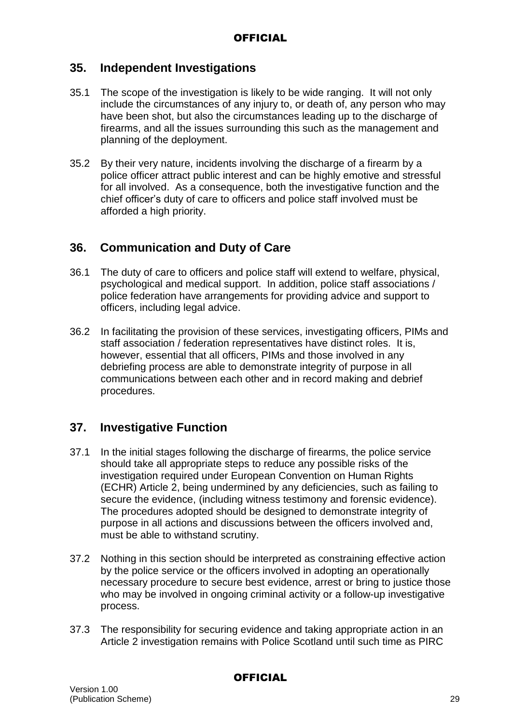## **35. Independent Investigations**

- 35.1 The scope of the investigation is likely to be wide ranging. It will not only include the circumstances of any injury to, or death of, any person who may have been shot, but also the circumstances leading up to the discharge of firearms, and all the issues surrounding this such as the management and planning of the deployment.
- 35.2 By their very nature, incidents involving the discharge of a firearm by a police officer attract public interest and can be highly emotive and stressful for all involved. As a consequence, both the investigative function and the chief officer's duty of care to officers and police staff involved must be afforded a high priority.

## **36. Communication and Duty of Care**

- 36.1 The duty of care to officers and police staff will extend to welfare, physical, psychological and medical support. In addition, police staff associations / police federation have arrangements for providing advice and support to officers, including legal advice.
- 36.2 In facilitating the provision of these services, investigating officers, PIMs and staff association / federation representatives have distinct roles. It is, however, essential that all officers, PIMs and those involved in any debriefing process are able to demonstrate integrity of purpose in all communications between each other and in record making and debrief procedures.

## **37. Investigative Function**

- 37.1 In the initial stages following the discharge of firearms, the police service should take all appropriate steps to reduce any possible risks of the investigation required under European Convention on Human Rights (ECHR) Article 2, being undermined by any deficiencies, such as failing to secure the evidence, (including witness testimony and forensic evidence). The procedures adopted should be designed to demonstrate integrity of purpose in all actions and discussions between the officers involved and, must be able to withstand scrutiny.
- 37.2 Nothing in this section should be interpreted as constraining effective action by the police service or the officers involved in adopting an operationally necessary procedure to secure best evidence, arrest or bring to justice those who may be involved in ongoing criminal activity or a follow-up investigative process.
- 37.3 The responsibility for securing evidence and taking appropriate action in an Article 2 investigation remains with Police Scotland until such time as PIRC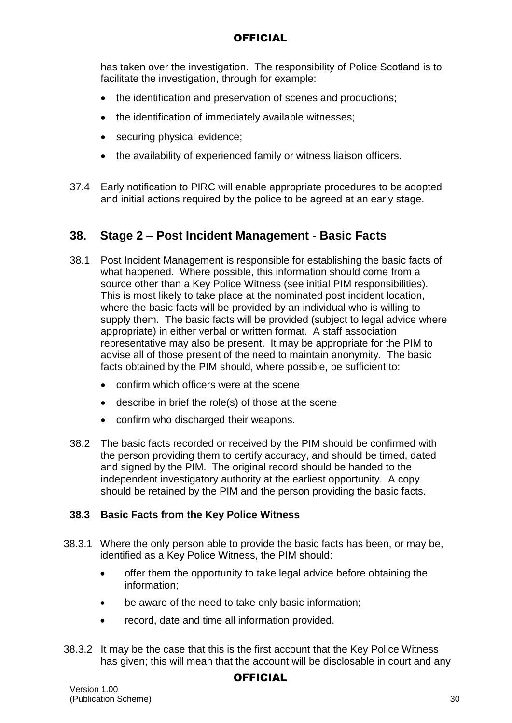has taken over the investigation. The responsibility of Police Scotland is to facilitate the investigation, through for example:

- the identification and preservation of scenes and productions;
- the identification of immediately available witnesses;
- securing physical evidence;
- the availability of experienced family or witness liaison officers.
- 37.4 Early notification to PIRC will enable appropriate procedures to be adopted and initial actions required by the police to be agreed at an early stage.

## **38. Stage 2 – Post Incident Management - Basic Facts**

- 38.1 Post Incident Management is responsible for establishing the basic facts of what happened. Where possible, this information should come from a source other than a Key Police Witness (see initial PIM responsibilities). This is most likely to take place at the nominated post incident location, where the basic facts will be provided by an individual who is willing to supply them. The basic facts will be provided (subject to legal advice where appropriate) in either verbal or written format. A staff association representative may also be present. It may be appropriate for the PIM to advise all of those present of the need to maintain anonymity. The basic facts obtained by the PIM should, where possible, be sufficient to:
	- confirm which officers were at the scene
	- describe in brief the role(s) of those at the scene
	- confirm who discharged their weapons.
- 38.2 The basic facts recorded or received by the PIM should be confirmed with the person providing them to certify accuracy, and should be timed, dated and signed by the PIM. The original record should be handed to the independent investigatory authority at the earliest opportunity. A copy should be retained by the PIM and the person providing the basic facts.

### **38.3 Basic Facts from the Key Police Witness**

- 38.3.1 Where the only person able to provide the basic facts has been, or may be, identified as a Key Police Witness, the PIM should:
	- offer them the opportunity to take legal advice before obtaining the information;
	- be aware of the need to take only basic information;
	- record, date and time all information provided.
- 38.3.2 It may be the case that this is the first account that the Key Police Witness has given; this will mean that the account will be disclosable in court and any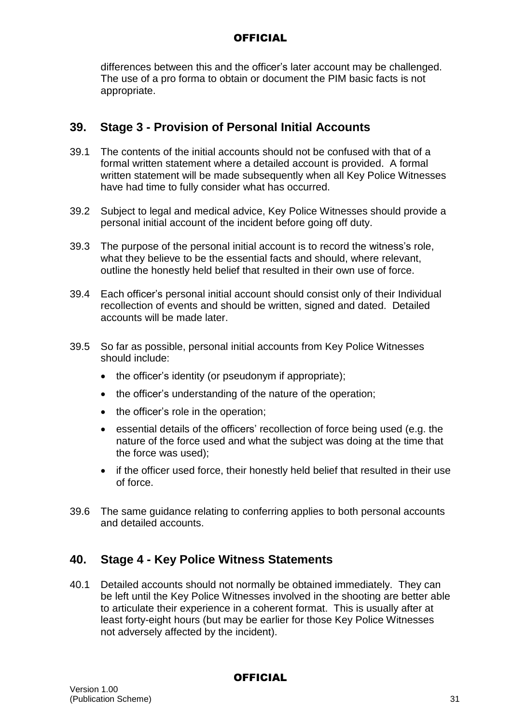differences between this and the officer's later account may be challenged. The use of a pro forma to obtain or document the PIM basic facts is not appropriate.

## **39. Stage 3 - Provision of Personal Initial Accounts**

- 39.1 The contents of the initial accounts should not be confused with that of a formal written statement where a detailed account is provided. A formal written statement will be made subsequently when all Key Police Witnesses have had time to fully consider what has occurred.
- 39.2 Subject to legal and medical advice, Key Police Witnesses should provide a personal initial account of the incident before going off duty.
- 39.3 The purpose of the personal initial account is to record the witness's role, what they believe to be the essential facts and should, where relevant, outline the honestly held belief that resulted in their own use of force.
- 39.4 Each officer's personal initial account should consist only of their Individual recollection of events and should be written, signed and dated. Detailed accounts will be made later.
- 39.5 So far as possible, personal initial accounts from Key Police Witnesses should include:
	- the officer's identity (or pseudonym if appropriate);
	- the officer's understanding of the nature of the operation;
	- the officer's role in the operation;
	- essential details of the officers' recollection of force being used (e.g. the nature of the force used and what the subject was doing at the time that the force was used);
	- if the officer used force, their honestly held belief that resulted in their use of force.
- 39.6 The same guidance relating to conferring applies to both personal accounts and detailed accounts.

## **40. Stage 4 - Key Police Witness Statements**

40.1 Detailed accounts should not normally be obtained immediately. They can be left until the Key Police Witnesses involved in the shooting are better able to articulate their experience in a coherent format. This is usually after at least forty-eight hours (but may be earlier for those Key Police Witnesses not adversely affected by the incident).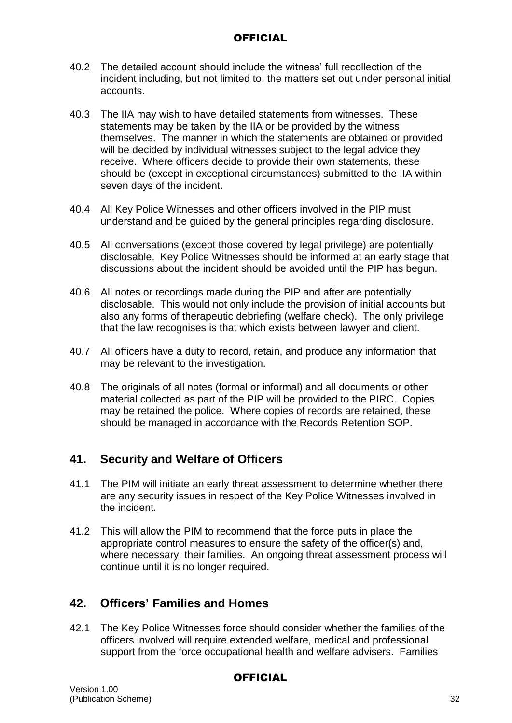- 40.2 The detailed account should include the witness' full recollection of the incident including, but not limited to, the matters set out under personal initial accounts.
- 40.3 The IIA may wish to have detailed statements from witnesses. These statements may be taken by the IIA or be provided by the witness themselves. The manner in which the statements are obtained or provided will be decided by individual witnesses subject to the legal advice they receive. Where officers decide to provide their own statements, these should be (except in exceptional circumstances) submitted to the IIA within seven days of the incident.
- 40.4 All Key Police Witnesses and other officers involved in the PIP must understand and be guided by the general principles regarding disclosure.
- 40.5 All conversations (except those covered by legal privilege) are potentially disclosable. Key Police Witnesses should be informed at an early stage that discussions about the incident should be avoided until the PIP has begun.
- 40.6 All notes or recordings made during the PIP and after are potentially disclosable. This would not only include the provision of initial accounts but also any forms of therapeutic debriefing (welfare check). The only privilege that the law recognises is that which exists between lawyer and client.
- 40.7 All officers have a duty to record, retain, and produce any information that may be relevant to the investigation.
- 40.8 The originals of all notes (formal or informal) and all documents or other material collected as part of the PIP will be provided to the PIRC. Copies may be retained the police. Where copies of records are retained, these should be managed in accordance with the Records Retention SOP.

## **41. Security and Welfare of Officers**

- 41.1 The PIM will initiate an early threat assessment to determine whether there are any security issues in respect of the Key Police Witnesses involved in the incident.
- 41.2 This will allow the PIM to recommend that the force puts in place the appropriate control measures to ensure the safety of the officer(s) and, where necessary, their families. An ongoing threat assessment process will continue until it is no longer required.

## **42. Officers' Families and Homes**

42.1 The Key Police Witnesses force should consider whether the families of the officers involved will require extended welfare, medical and professional support from the force occupational health and welfare advisers. Families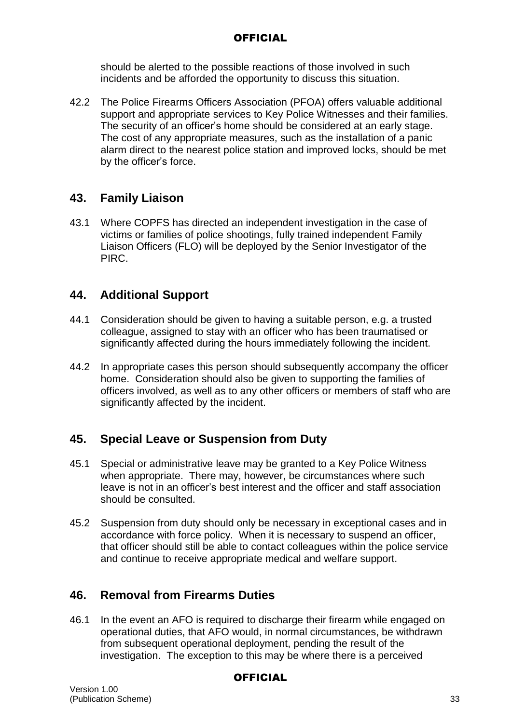should be alerted to the possible reactions of those involved in such incidents and be afforded the opportunity to discuss this situation.

42.2 The Police Firearms Officers Association (PFOA) offers valuable additional support and appropriate services to Key Police Witnesses and their families. The security of an officer's home should be considered at an early stage. The cost of any appropriate measures, such as the installation of a panic alarm direct to the nearest police station and improved locks, should be met by the officer's force.

## **43. Family Liaison**

43.1 Where COPFS has directed an independent investigation in the case of victims or families of police shootings, fully trained independent Family Liaison Officers (FLO) will be deployed by the Senior Investigator of the PIRC.

## **44. Additional Support**

- 44.1 Consideration should be given to having a suitable person, e.g. a trusted colleague, assigned to stay with an officer who has been traumatised or significantly affected during the hours immediately following the incident.
- 44.2 In appropriate cases this person should subsequently accompany the officer home. Consideration should also be given to supporting the families of officers involved, as well as to any other officers or members of staff who are significantly affected by the incident.

## **45. Special Leave or Suspension from Duty**

- 45.1 Special or administrative leave may be granted to a Key Police Witness when appropriate. There may, however, be circumstances where such leave is not in an officer's best interest and the officer and staff association should be consulted.
- 45.2 Suspension from duty should only be necessary in exceptional cases and in accordance with force policy. When it is necessary to suspend an officer, that officer should still be able to contact colleagues within the police service and continue to receive appropriate medical and welfare support.

## **46. Removal from Firearms Duties**

46.1 In the event an AFO is required to discharge their firearm while engaged on operational duties, that AFO would, in normal circumstances, be withdrawn from subsequent operational deployment, pending the result of the investigation. The exception to this may be where there is a perceived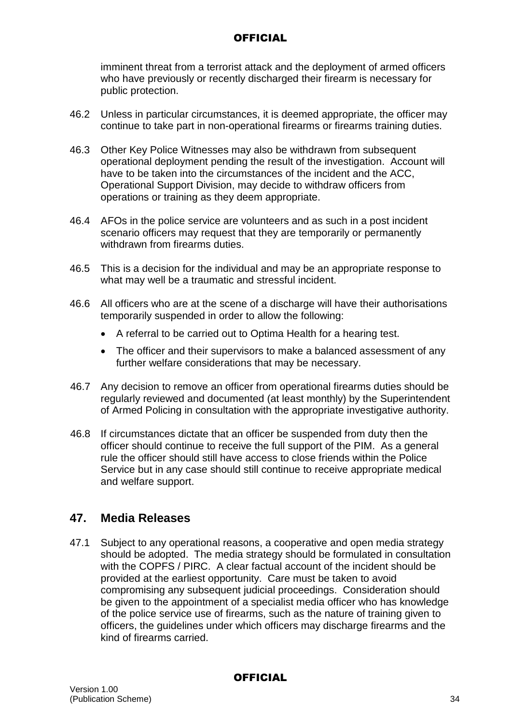imminent threat from a terrorist attack and the deployment of armed officers who have previously or recently discharged their firearm is necessary for public protection.

- 46.2 Unless in particular circumstances, it is deemed appropriate, the officer may continue to take part in non-operational firearms or firearms training duties.
- 46.3 Other Key Police Witnesses may also be withdrawn from subsequent operational deployment pending the result of the investigation. Account will have to be taken into the circumstances of the incident and the ACC, Operational Support Division, may decide to withdraw officers from operations or training as they deem appropriate.
- 46.4 AFOs in the police service are volunteers and as such in a post incident scenario officers may request that they are temporarily or permanently withdrawn from firearms duties
- 46.5 This is a decision for the individual and may be an appropriate response to what may well be a traumatic and stressful incident.
- 46.6 All officers who are at the scene of a discharge will have their authorisations temporarily suspended in order to allow the following:
	- A referral to be carried out to Optima Health for a hearing test.
	- The officer and their supervisors to make a balanced assessment of any further welfare considerations that may be necessary.
- 46.7 Any decision to remove an officer from operational firearms duties should be regularly reviewed and documented (at least monthly) by the Superintendent of Armed Policing in consultation with the appropriate investigative authority.
- 46.8 If circumstances dictate that an officer be suspended from duty then the officer should continue to receive the full support of the PIM. As a general rule the officer should still have access to close friends within the Police Service but in any case should still continue to receive appropriate medical and welfare support.

## **47. Media Releases**

47.1 Subject to any operational reasons, a cooperative and open media strategy should be adopted. The media strategy should be formulated in consultation with the COPFS / PIRC. A clear factual account of the incident should be provided at the earliest opportunity. Care must be taken to avoid compromising any subsequent judicial proceedings. Consideration should be given to the appointment of a specialist media officer who has knowledge of the police service use of firearms, such as the nature of training given to officers, the guidelines under which officers may discharge firearms and the kind of firearms carried.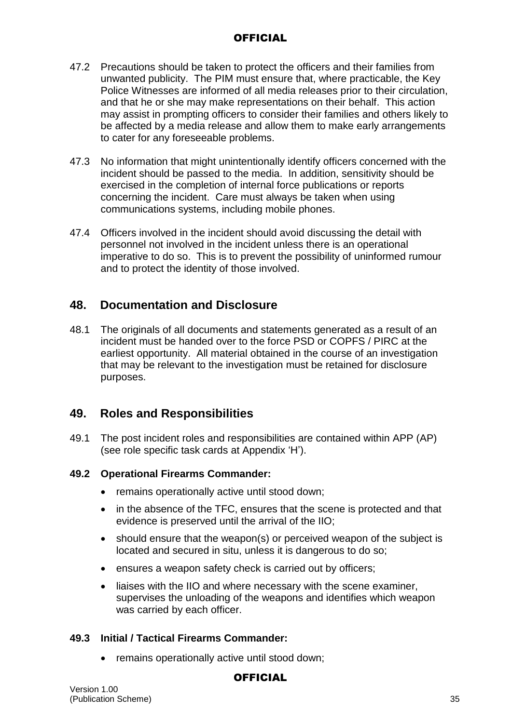- 47.2 Precautions should be taken to protect the officers and their families from unwanted publicity. The PIM must ensure that, where practicable, the Key Police Witnesses are informed of all media releases prior to their circulation, and that he or she may make representations on their behalf. This action may assist in prompting officers to consider their families and others likely to be affected by a media release and allow them to make early arrangements to cater for any foreseeable problems.
- 47.3 No information that might unintentionally identify officers concerned with the incident should be passed to the media. In addition, sensitivity should be exercised in the completion of internal force publications or reports concerning the incident. Care must always be taken when using communications systems, including mobile phones.
- 47.4 Officers involved in the incident should avoid discussing the detail with personnel not involved in the incident unless there is an operational imperative to do so. This is to prevent the possibility of uninformed rumour and to protect the identity of those involved.

## **48. Documentation and Disclosure**

48.1 The originals of all documents and statements generated as a result of an incident must be handed over to the force PSD or COPFS / PIRC at the earliest opportunity. All material obtained in the course of an investigation that may be relevant to the investigation must be retained for disclosure purposes.

## **49. Roles and Responsibilities**

49.1 The post incident roles and responsibilities are contained within APP (AP) (see role specific task cards at Appendix 'H').

### **49.2 Operational Firearms Commander:**

- remains operationally active until stood down;
- in the absence of the TFC, ensures that the scene is protected and that evidence is preserved until the arrival of the IIO;
- should ensure that the weapon(s) or perceived weapon of the subject is located and secured in situ, unless it is dangerous to do so;
- ensures a weapon safety check is carried out by officers;
- liaises with the IIO and where necessary with the scene examiner, supervises the unloading of the weapons and identifies which weapon was carried by each officer.

### **49.3 Initial / Tactical Firearms Commander:**

remains operationally active until stood down;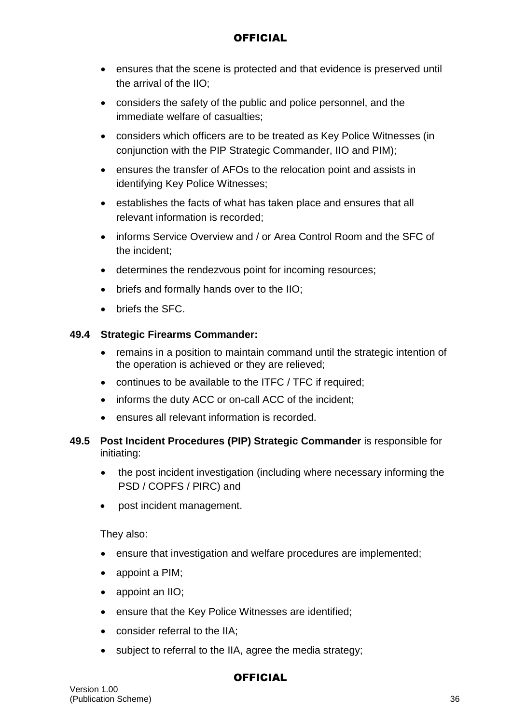- ensures that the scene is protected and that evidence is preserved until the arrival of the IIO;
- considers the safety of the public and police personnel, and the immediate welfare of casualties;
- considers which officers are to be treated as Key Police Witnesses (in conjunction with the PIP Strategic Commander, IIO and PIM);
- ensures the transfer of AFOs to the relocation point and assists in identifying Key Police Witnesses;
- establishes the facts of what has taken place and ensures that all relevant information is recorded;
- informs Service Overview and / or Area Control Room and the SFC of the incident;
- determines the rendezvous point for incoming resources;
- briefs and formally hands over to the IIO;
- briefs the SFC.

## **49.4 Strategic Firearms Commander:**

- remains in a position to maintain command until the strategic intention of the operation is achieved or they are relieved;
- continues to be available to the ITFC / TFC if required;
- informs the duty ACC or on-call ACC of the incident:
- ensures all relevant information is recorded.
- **49.5 Post Incident Procedures (PIP) Strategic Commander** is responsible for initiating:
	- the post incident investigation (including where necessary informing the PSD / COPFS / PIRC) and
	- post incident management.

They also:

- ensure that investigation and welfare procedures are implemented;
- appoint a PIM;
- appoint an IIO;
- ensure that the Key Police Witnesses are identified;
- consider referral to the IIA;
- subject to referral to the IIA, agree the media strategy;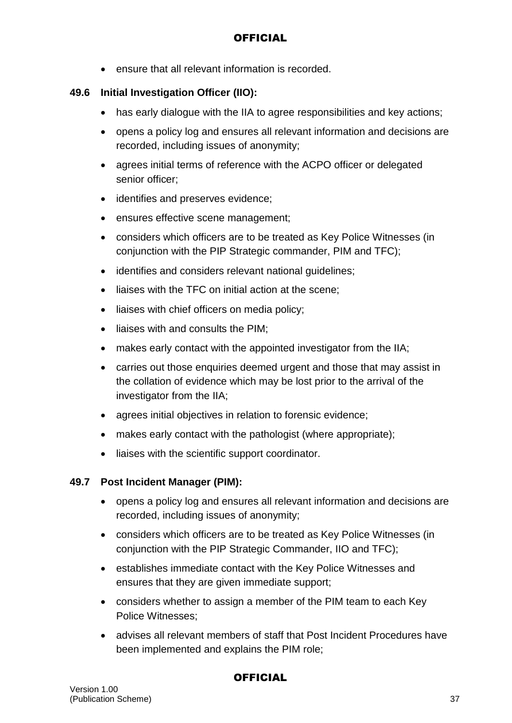ensure that all relevant information is recorded.

#### **49.6 Initial Investigation Officer (IIO):**

- has early dialogue with the IIA to agree responsibilities and key actions;
- opens a policy log and ensures all relevant information and decisions are recorded, including issues of anonymity;
- agrees initial terms of reference with the ACPO officer or delegated senior officer;
- identifies and preserves evidence;
- ensures effective scene management;
- considers which officers are to be treated as Key Police Witnesses (in conjunction with the PIP Strategic commander, PIM and TFC);
- identifies and considers relevant national guidelines;
- liaises with the TFC on initial action at the scene:
- liaises with chief officers on media policy;
- liaises with and consults the PIM;
- makes early contact with the appointed investigator from the IIA;
- carries out those enquiries deemed urgent and those that may assist in the collation of evidence which may be lost prior to the arrival of the investigator from the IIA;
- agrees initial objectives in relation to forensic evidence;
- makes early contact with the pathologist (where appropriate);
- liaises with the scientific support coordinator.

### **49.7 Post Incident Manager (PIM):**

- opens a policy log and ensures all relevant information and decisions are recorded, including issues of anonymity;
- considers which officers are to be treated as Key Police Witnesses (in conjunction with the PIP Strategic Commander, IIO and TFC);
- establishes immediate contact with the Key Police Witnesses and ensures that they are given immediate support;
- considers whether to assign a member of the PIM team to each Key Police Witnesses;
- advises all relevant members of staff that Post Incident Procedures have been implemented and explains the PIM role;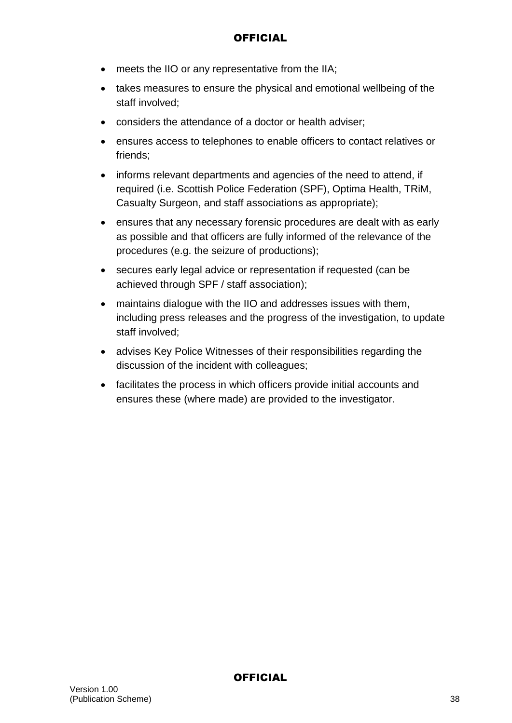- meets the IIO or any representative from the IIA;
- takes measures to ensure the physical and emotional wellbeing of the staff involved;
- considers the attendance of a doctor or health adviser;
- ensures access to telephones to enable officers to contact relatives or friends;
- informs relevant departments and agencies of the need to attend, if required (i.e. Scottish Police Federation (SPF), Optima Health, TRiM, Casualty Surgeon, and staff associations as appropriate);
- ensures that any necessary forensic procedures are dealt with as early as possible and that officers are fully informed of the relevance of the procedures (e.g. the seizure of productions);
- secures early legal advice or representation if requested (can be achieved through SPF / staff association);
- maintains dialogue with the IIO and addresses issues with them, including press releases and the progress of the investigation, to update staff involved;
- advises Key Police Witnesses of their responsibilities regarding the discussion of the incident with colleagues;
- facilitates the process in which officers provide initial accounts and ensures these (where made) are provided to the investigator.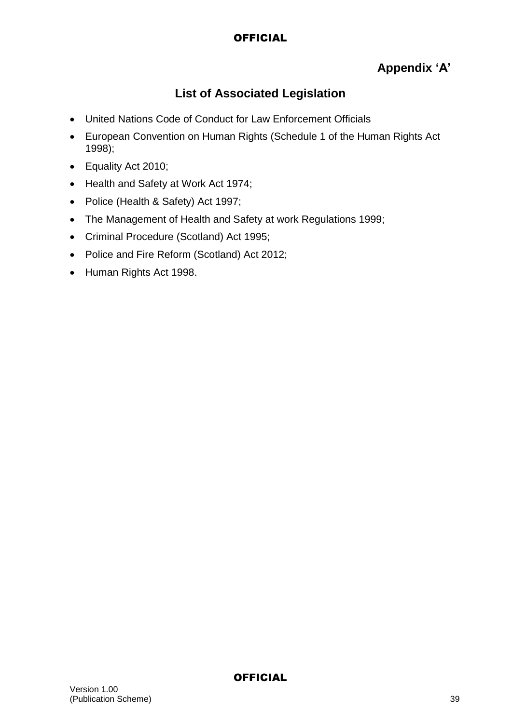## **Appendix 'A'**

## **List of Associated Legislation**

- United Nations Code of Conduct for Law Enforcement Officials
- European Convention on Human Rights (Schedule 1 of the Human Rights Act 1998);
- Equality Act 2010;
- Health and Safety at Work Act 1974;
- Police (Health & Safety) Act 1997;
- The Management of Health and Safety at work Regulations 1999;
- Criminal Procedure (Scotland) Act 1995;
- Police and Fire Reform (Scotland) Act 2012;
- Human Rights Act 1998.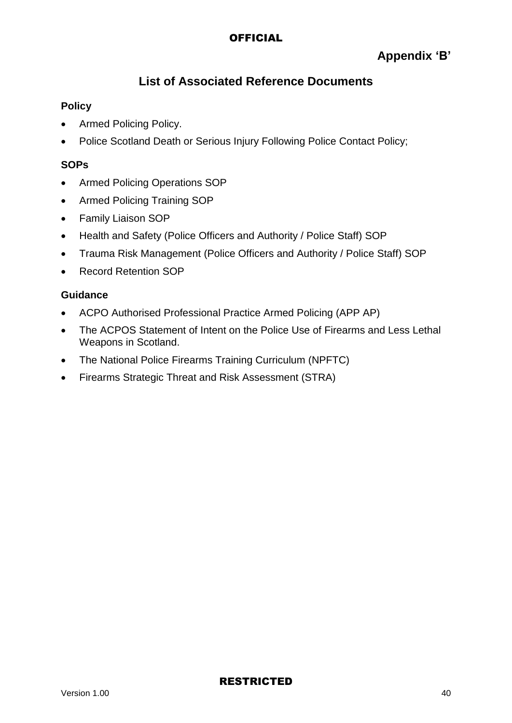## **Appendix 'B'**

## **List of Associated Reference Documents**

### **Policy**

- Armed Policing Policy.
- Police Scotland Death or Serious Injury Following Police Contact Policy;

### **SOPs**

- Armed Policing Operations SOP
- Armed Policing Training SOP
- Family Liaison SOP
- Health and Safety (Police Officers and Authority / Police Staff) SOP
- Trauma Risk Management (Police Officers and Authority / Police Staff) SOP
- Record Retention SOP

#### **Guidance**

- ACPO Authorised Professional Practice Armed Policing (APP AP)
- The ACPOS Statement of Intent on the Police Use of Firearms and Less Lethal Weapons in Scotland.
- The National Police Firearms Training Curriculum (NPFTC)
- Firearms Strategic Threat and Risk Assessment (STRA)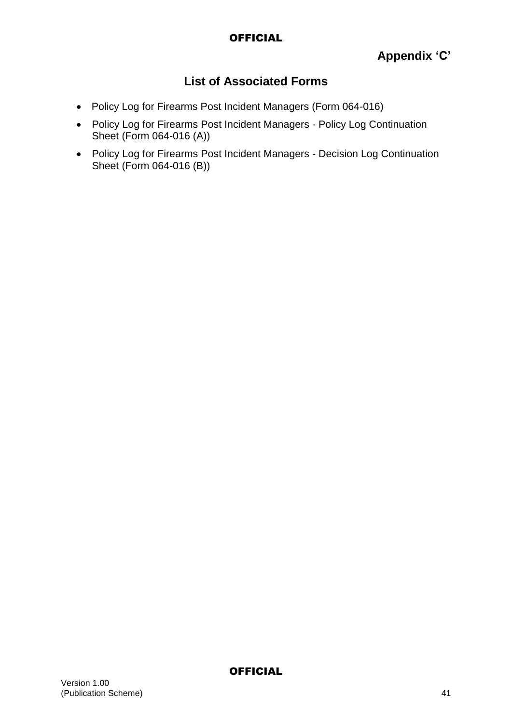## **List of Associated Forms**

- Policy Log for Firearms Post Incident Managers (Form 064-016)
- Policy Log for Firearms Post Incident Managers Policy Log Continuation Sheet (Form 064-016 (A))
- Policy Log for Firearms Post Incident Managers Decision Log Continuation Sheet (Form 064-016 (B))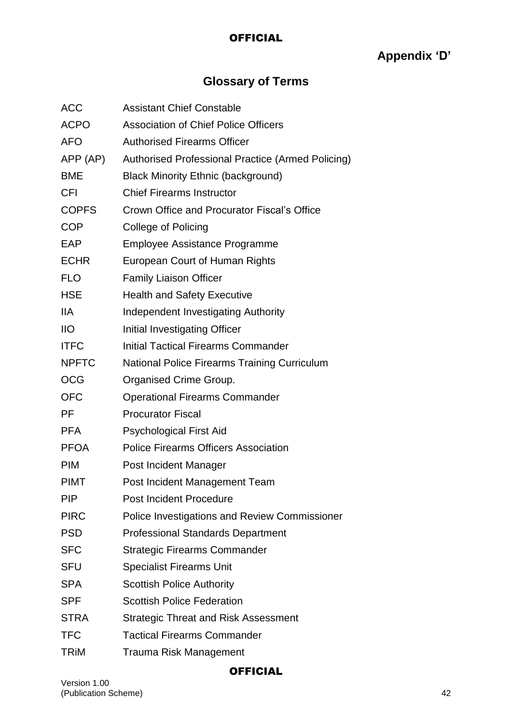# **Appendix 'D'**

# **Glossary of Terms**

| ACC             | <b>Assistant Chief Constable</b>                     |
|-----------------|------------------------------------------------------|
| <b>ACPO</b>     | <b>Association of Chief Police Officers</b>          |
| <b>AFO</b>      | <b>Authorised Firearms Officer</b>                   |
| APP (AP)        | Authorised Professional Practice (Armed Policing)    |
| <b>BME</b>      | <b>Black Minority Ethnic (background)</b>            |
| <b>CFI</b>      | <b>Chief Firearms Instructor</b>                     |
| <b>COPFS</b>    | Crown Office and Procurator Fiscal's Office          |
| <b>COP</b>      | College of Policing                                  |
| EAP             | <b>Employee Assistance Programme</b>                 |
| <b>ECHR</b>     | European Court of Human Rights                       |
| <b>FLO</b>      | <b>Family Liaison Officer</b>                        |
| <b>HSE</b>      | <b>Health and Safety Executive</b>                   |
| <b>IIA</b>      | Independent Investigating Authority                  |
| $\overline{11}$ | Initial Investigating Officer                        |
| <b>ITFC</b>     | <b>Initial Tactical Firearms Commander</b>           |
| <b>NPFTC</b>    | <b>National Police Firearms Training Curriculum</b>  |
| <b>OCG</b>      | Organised Crime Group.                               |
| <b>OFC</b>      | <b>Operational Firearms Commander</b>                |
| PF              | <b>Procurator Fiscal</b>                             |
| <b>PFA</b>      | <b>Psychological First Aid</b>                       |
| <b>PFOA</b>     | <b>Police Firearms Officers Association</b>          |
| <b>PIM</b>      | Post Incident Manager                                |
| <b>PIMT</b>     | Post Incident Management Team                        |
| <b>PIP</b>      | <b>Post Incident Procedure</b>                       |
| <b>PIRC</b>     | <b>Police Investigations and Review Commissioner</b> |
| <b>PSD</b>      | <b>Professional Standards Department</b>             |
| <b>SFC</b>      | <b>Strategic Firearms Commander</b>                  |
| <b>SFU</b>      | <b>Specialist Firearms Unit</b>                      |
| <b>SPA</b>      | <b>Scottish Police Authority</b>                     |
| <b>SPF</b>      | <b>Scottish Police Federation</b>                    |
| <b>STRA</b>     | <b>Strategic Threat and Risk Assessment</b>          |
| <b>TFC</b>      | <b>Tactical Firearms Commander</b>                   |
|                 |                                                      |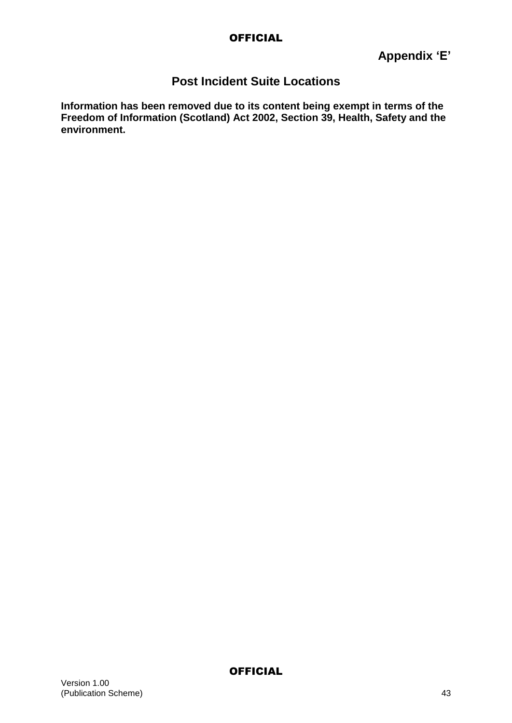## **Post Incident Suite Locations**

**Information has been removed due to its content being exempt in terms of the Freedom of Information (Scotland) Act 2002, Section 39, Health, Safety and the environment.**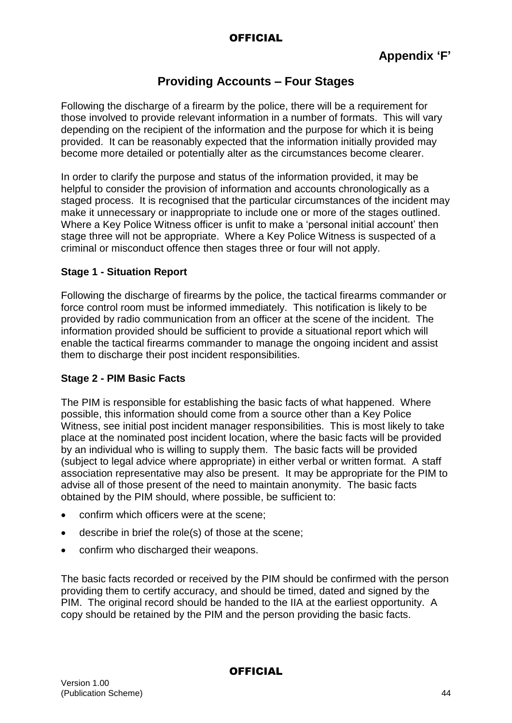## **Providing Accounts – Four Stages**

Following the discharge of a firearm by the police, there will be a requirement for those involved to provide relevant information in a number of formats. This will vary depending on the recipient of the information and the purpose for which it is being provided. It can be reasonably expected that the information initially provided may become more detailed or potentially alter as the circumstances become clearer.

In order to clarify the purpose and status of the information provided, it may be helpful to consider the provision of information and accounts chronologically as a staged process. It is recognised that the particular circumstances of the incident may make it unnecessary or inappropriate to include one or more of the stages outlined. Where a Key Police Witness officer is unfit to make a 'personal initial account' then stage three will not be appropriate. Where a Key Police Witness is suspected of a criminal or misconduct offence then stages three or four will not apply.

### **Stage 1 - Situation Report**

Following the discharge of firearms by the police, the tactical firearms commander or force control room must be informed immediately. This notification is likely to be provided by radio communication from an officer at the scene of the incident. The information provided should be sufficient to provide a situational report which will enable the tactical firearms commander to manage the ongoing incident and assist them to discharge their post incident responsibilities.

### **Stage 2 - PIM Basic Facts**

The PIM is responsible for establishing the basic facts of what happened. Where possible, this information should come from a source other than a Key Police Witness, see initial post incident manager responsibilities. This is most likely to take place at the nominated post incident location, where the basic facts will be provided by an individual who is willing to supply them. The basic facts will be provided (subject to legal advice where appropriate) in either verbal or written format. A staff association representative may also be present. It may be appropriate for the PIM to advise all of those present of the need to maintain anonymity. The basic facts obtained by the PIM should, where possible, be sufficient to:

- confirm which officers were at the scene;
- describe in brief the role(s) of those at the scene;
- confirm who discharged their weapons.

The basic facts recorded or received by the PIM should be confirmed with the person providing them to certify accuracy, and should be timed, dated and signed by the PIM. The original record should be handed to the IIA at the earliest opportunity. A copy should be retained by the PIM and the person providing the basic facts.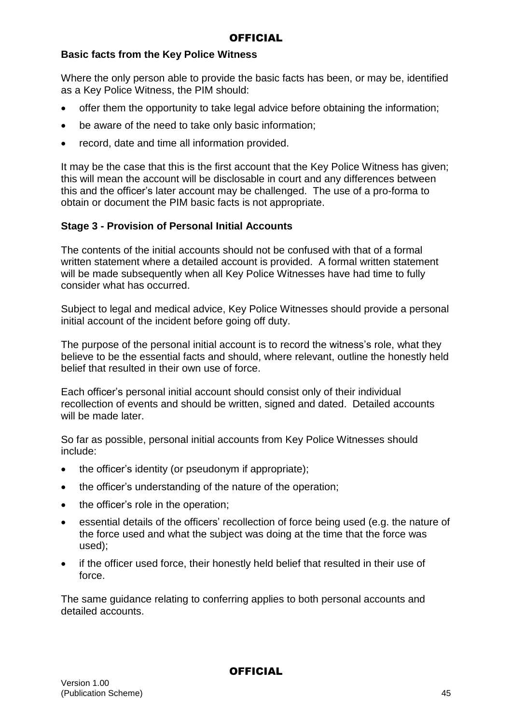### **Basic facts from the Key Police Witness**

Where the only person able to provide the basic facts has been, or may be, identified as a Key Police Witness, the PIM should:

- offer them the opportunity to take legal advice before obtaining the information;
- be aware of the need to take only basic information;
- record, date and time all information provided.

It may be the case that this is the first account that the Key Police Witness has given; this will mean the account will be disclosable in court and any differences between this and the officer's later account may be challenged. The use of a pro-forma to obtain or document the PIM basic facts is not appropriate.

## **Stage 3 - Provision of Personal Initial Accounts**

The contents of the initial accounts should not be confused with that of a formal written statement where a detailed account is provided. A formal written statement will be made subsequently when all Key Police Witnesses have had time to fully consider what has occurred.

Subject to legal and medical advice, Key Police Witnesses should provide a personal initial account of the incident before going off duty.

The purpose of the personal initial account is to record the witness's role, what they believe to be the essential facts and should, where relevant, outline the honestly held belief that resulted in their own use of force.

Each officer's personal initial account should consist only of their individual recollection of events and should be written, signed and dated. Detailed accounts will be made later.

So far as possible, personal initial accounts from Key Police Witnesses should include:

- the officer's identity (or pseudonym if appropriate);
- the officer's understanding of the nature of the operation;
- the officer's role in the operation;
- essential details of the officers' recollection of force being used (e.g. the nature of the force used and what the subject was doing at the time that the force was used);
- if the officer used force, their honestly held belief that resulted in their use of force.

The same guidance relating to conferring applies to both personal accounts and detailed accounts.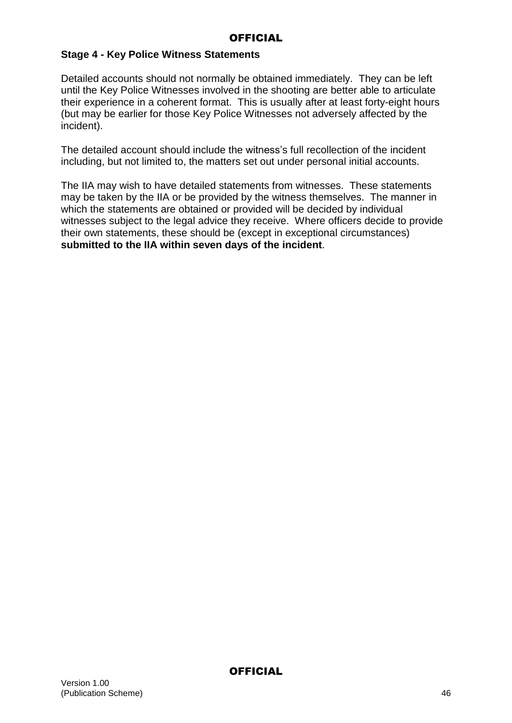### **Stage 4 - Key Police Witness Statements**

Detailed accounts should not normally be obtained immediately. They can be left until the Key Police Witnesses involved in the shooting are better able to articulate their experience in a coherent format. This is usually after at least forty-eight hours (but may be earlier for those Key Police Witnesses not adversely affected by the incident).

The detailed account should include the witness's full recollection of the incident including, but not limited to, the matters set out under personal initial accounts.

The IIA may wish to have detailed statements from witnesses. These statements may be taken by the IIA or be provided by the witness themselves. The manner in which the statements are obtained or provided will be decided by individual witnesses subject to the legal advice they receive. Where officers decide to provide their own statements, these should be (except in exceptional circumstances) **submitted to the IIA within seven days of the incident**.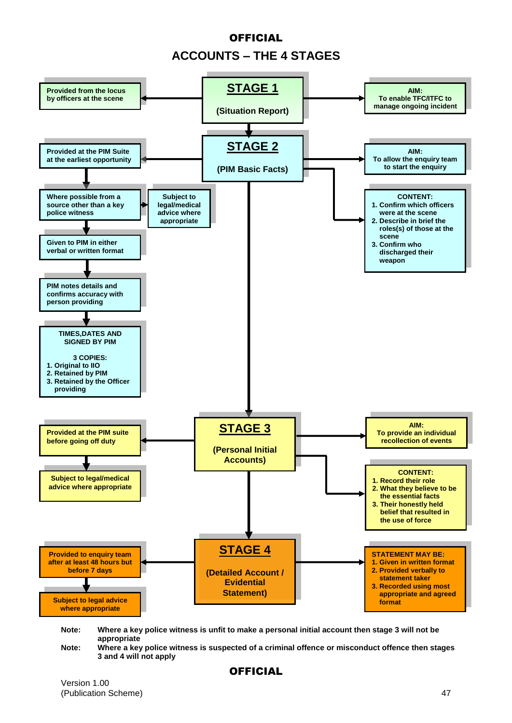# **OFFICIAL ACCOUNTS – THE 4 STAGES**



Note: Where a key police witness is unfit to make a personal initial account then stage 3 will not be **appropriate**

**Note: Where a key police witness is suspected of a criminal offence or misconduct offence then stages 3 and 4 will not apply**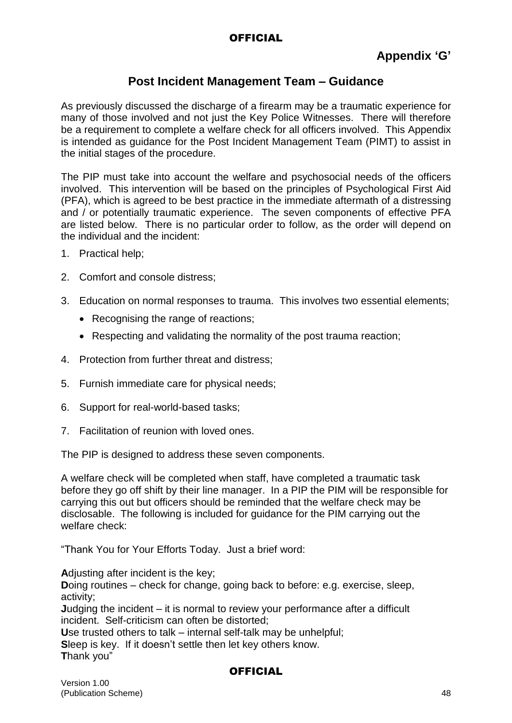## **Post Incident Management Team – Guidance**

As previously discussed the discharge of a firearm may be a traumatic experience for many of those involved and not just the Key Police Witnesses. There will therefore be a requirement to complete a welfare check for all officers involved. This Appendix is intended as guidance for the Post Incident Management Team (PIMT) to assist in the initial stages of the procedure.

The PIP must take into account the welfare and psychosocial needs of the officers involved. This intervention will be based on the principles of Psychological First Aid (PFA), which is agreed to be best practice in the immediate aftermath of a distressing and / or potentially traumatic experience. The seven components of effective PFA are listed below. There is no particular order to follow, as the order will depend on the individual and the incident:

- 1. Practical help;
- 2. Comfort and console distress;
- 3. Education on normal responses to trauma. This involves two essential elements;
	- Recognising the range of reactions:
	- Respecting and validating the normality of the post trauma reaction;
- 4. Protection from further threat and distress;
- 5. Furnish immediate care for physical needs;
- 6. Support for real-world-based tasks;
- 7. Facilitation of reunion with loved ones.

The PIP is designed to address these seven components.

A welfare check will be completed when staff, have completed a traumatic task before they go off shift by their line manager. In a PIP the PIM will be responsible for carrying this out but officers should be reminded that the welfare check may be disclosable. The following is included for guidance for the PIM carrying out the welfare check:

"Thank You for Your Efforts Today. Just a brief word:

**A**djusting after incident is the key; **Doing routines** – check for change, going back to before: e.g. exercise, sleep, activity; **J**udging the incident – it is normal to review your performance after a difficult incident. Self-criticism can often be distorted; **U**se trusted others to talk – internal self-talk may be unhelpful; **S**leep is key. If it doesn't settle then let key others know. **T**hank you"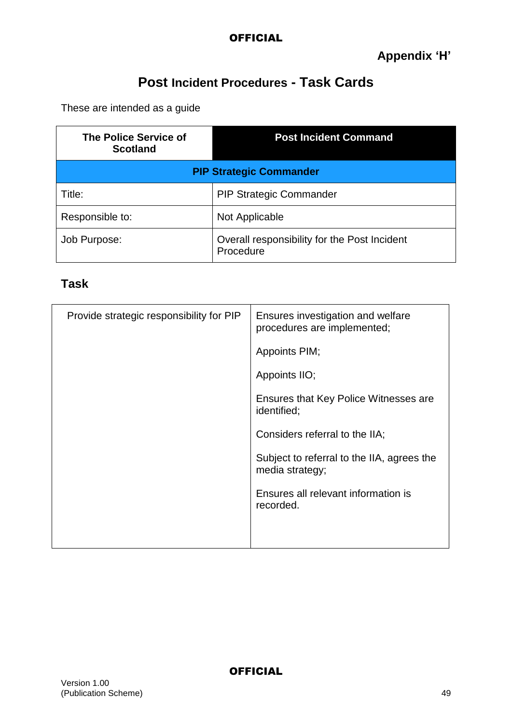# **Post Incident Procedures - Task Cards**

These are intended as a guide

| The Police Service of<br><b>Scotland</b> | <b>Post Incident Command</b>                              |
|------------------------------------------|-----------------------------------------------------------|
|                                          | <b>PIP Strategic Commander</b>                            |
| Title:                                   | <b>PIP Strategic Commander</b>                            |
| Responsible to:                          | Not Applicable                                            |
| Job Purpose:                             | Overall responsibility for the Post Incident<br>Procedure |

## **Task**

| Provide strategic responsibility for PIP | Ensures investigation and welfare<br>procedures are implemented; |
|------------------------------------------|------------------------------------------------------------------|
|                                          | Appoints PIM;                                                    |
|                                          | Appoints IIO;                                                    |
|                                          | Ensures that Key Police Witnesses are<br>identified;             |
|                                          | Considers referral to the IIA;                                   |
|                                          | Subject to referral to the IIA, agrees the<br>media strategy;    |
|                                          | Ensures all relevant information is<br>recorded.                 |
|                                          |                                                                  |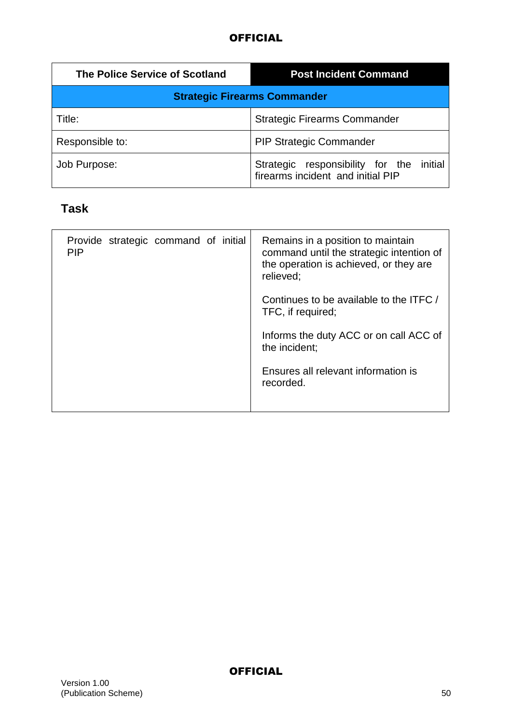| The Police Service of Scotland      | <b>Post Incident Command</b>                                                     |
|-------------------------------------|----------------------------------------------------------------------------------|
| <b>Strategic Firearms Commander</b> |                                                                                  |
| Title:                              | <b>Strategic Firearms Commander</b>                                              |
| Responsible to:                     | <b>PIP Strategic Commander</b>                                                   |
| Job Purpose:                        | initial<br>Strategic responsibility for the<br>firearms incident and initial PIP |

# **Task**

| Provide strategic command of initial<br><b>PIP</b> | Remains in a position to maintain<br>command until the strategic intention of<br>the operation is achieved, or they are<br>relieved; |
|----------------------------------------------------|--------------------------------------------------------------------------------------------------------------------------------------|
|                                                    | Continues to be available to the ITFC /<br>TFC, if required;                                                                         |
|                                                    | Informs the duty ACC or on call ACC of<br>the incident;                                                                              |
|                                                    | Ensures all relevant information is<br>recorded.                                                                                     |
|                                                    |                                                                                                                                      |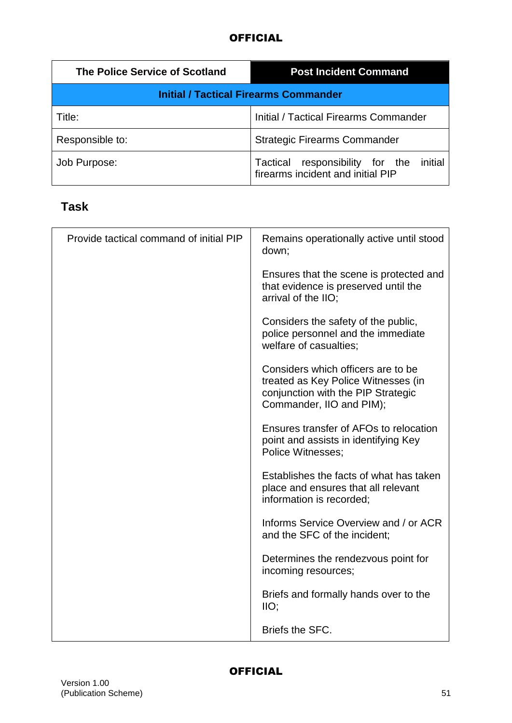| The Police Service of Scotland | <b>Post Incident Command</b>                                                    |
|--------------------------------|---------------------------------------------------------------------------------|
|                                | <b>Initial / Tactical Firearms Commander</b>                                    |
| Title:                         | Initial / Tactical Firearms Commander                                           |
| Responsible to:                | <b>Strategic Firearms Commander</b>                                             |
| Job Purpose:                   | initial<br>Tactical responsibility for the<br>firearms incident and initial PIP |

# **Task**

| Provide tactical command of initial PIP | Remains operationally active until stood<br>down;                                                                                           |
|-----------------------------------------|---------------------------------------------------------------------------------------------------------------------------------------------|
|                                         | Ensures that the scene is protected and<br>that evidence is preserved until the<br>arrival of the IIO;                                      |
|                                         | Considers the safety of the public,<br>police personnel and the immediate<br>welfare of casualties;                                         |
|                                         | Considers which officers are to be<br>treated as Key Police Witnesses (in<br>conjunction with the PIP Strategic<br>Commander, IIO and PIM); |
|                                         | Ensures transfer of AFOs to relocation<br>point and assists in identifying Key<br>Police Witnesses;                                         |
|                                         | Establishes the facts of what has taken<br>place and ensures that all relevant<br>information is recorded;                                  |
|                                         | Informs Service Overview and / or ACR<br>and the SFC of the incident;                                                                       |
|                                         | Determines the rendezvous point for<br>incoming resources;                                                                                  |
|                                         | Briefs and formally hands over to the<br>IIO                                                                                                |
|                                         | Briefs the SFC.                                                                                                                             |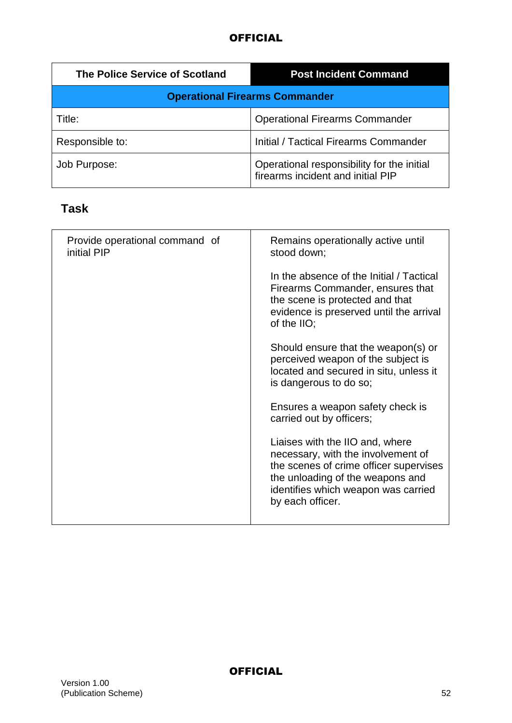| The Police Service of Scotland | <b>Post Incident Command</b>                                                    |
|--------------------------------|---------------------------------------------------------------------------------|
|                                | <b>Operational Firearms Commander</b>                                           |
| Title:                         | <b>Operational Firearms Commander</b>                                           |
| Responsible to:                | <b>Initial / Tactical Firearms Commander</b>                                    |
| Job Purpose:                   | Operational responsibility for the initial<br>firearms incident and initial PIP |

# **Task**

| Provide operational command of<br>initial PIP | Remains operationally active until<br>stood down;                                                                                                                                                              |
|-----------------------------------------------|----------------------------------------------------------------------------------------------------------------------------------------------------------------------------------------------------------------|
|                                               | In the absence of the Initial / Tactical<br>Firearms Commander, ensures that<br>the scene is protected and that<br>evidence is preserved until the arrival<br>of the $IO$ ;                                    |
|                                               | Should ensure that the weapon(s) or<br>perceived weapon of the subject is<br>located and secured in situ, unless it<br>is dangerous to do so;                                                                  |
|                                               | Ensures a weapon safety check is<br>carried out by officers;                                                                                                                                                   |
|                                               | Liaises with the IIO and, where<br>necessary, with the involvement of<br>the scenes of crime officer supervises<br>the unloading of the weapons and<br>identifies which weapon was carried<br>by each officer. |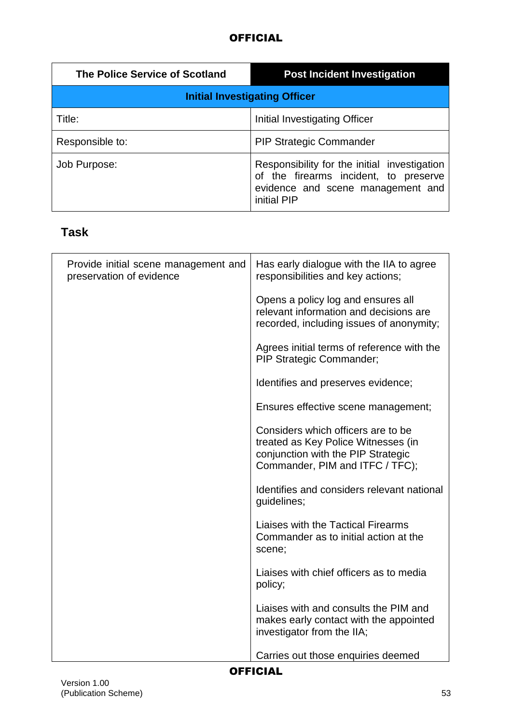| <b>The Police Service of Scotland</b> | <b>Post Incident Investigation</b>                                                                                                        |
|---------------------------------------|-------------------------------------------------------------------------------------------------------------------------------------------|
| <b>Initial Investigating Officer</b>  |                                                                                                                                           |
| Title:                                | Initial Investigating Officer                                                                                                             |
| Responsible to:                       | <b>PIP Strategic Commander</b>                                                                                                            |
| Job Purpose:                          | Responsibility for the initial investigation<br>of the firearms incident, to preserve<br>evidence and scene management and<br>initial PIP |

# **Task**

| Provide initial scene management and<br>preservation of evidence | Has early dialogue with the IIA to agree<br>responsibilities and key actions;                                                                      |
|------------------------------------------------------------------|----------------------------------------------------------------------------------------------------------------------------------------------------|
|                                                                  | Opens a policy log and ensures all<br>relevant information and decisions are<br>recorded, including issues of anonymity;                           |
|                                                                  | Agrees initial terms of reference with the<br><b>PIP Strategic Commander;</b>                                                                      |
|                                                                  | Identifies and preserves evidence;                                                                                                                 |
|                                                                  | Ensures effective scene management;                                                                                                                |
|                                                                  | Considers which officers are to be<br>treated as Key Police Witnesses (in<br>conjunction with the PIP Strategic<br>Commander, PIM and ITFC / TFC); |
|                                                                  | Identifies and considers relevant national<br>guidelines;                                                                                          |
|                                                                  | Liaises with the Tactical Firearms<br>Commander as to initial action at the<br>scene;                                                              |
|                                                                  | Liaises with chief officers as to media<br>policy;                                                                                                 |
|                                                                  | Liaises with and consults the PIM and<br>makes early contact with the appointed<br>investigator from the IIA;                                      |
|                                                                  | Carries out those enquiries deemed                                                                                                                 |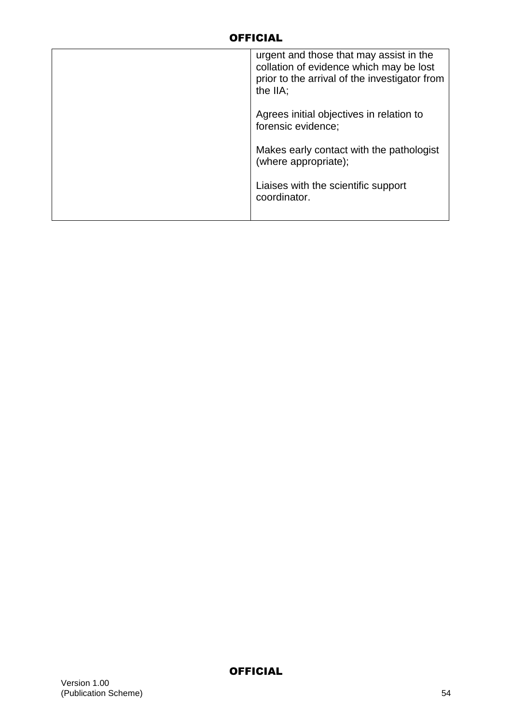| urgent and those that may assist in the<br>collation of evidence which may be lost<br>prior to the arrival of the investigator from<br>the IIA: |
|-------------------------------------------------------------------------------------------------------------------------------------------------|
| Agrees initial objectives in relation to<br>forensic evidence;                                                                                  |
| Makes early contact with the pathologist<br>(where appropriate);                                                                                |
| Liaises with the scientific support<br>coordinator.                                                                                             |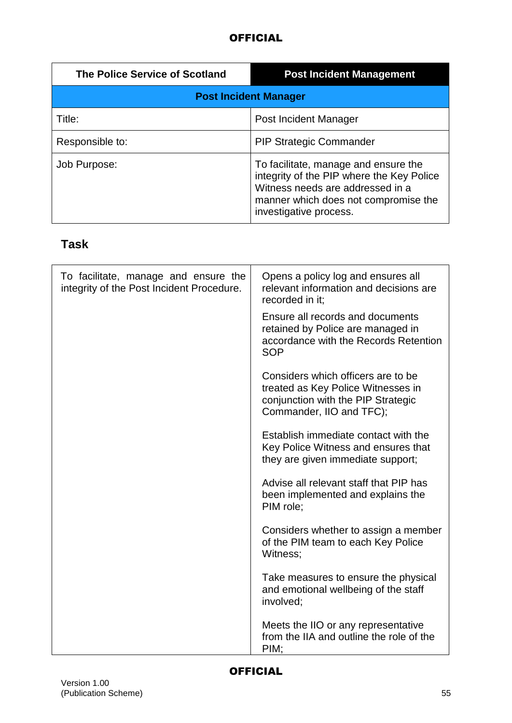| The Police Service of Scotland | <b>Post Incident Management</b>                                                                                                                                                         |
|--------------------------------|-----------------------------------------------------------------------------------------------------------------------------------------------------------------------------------------|
| <b>Post Incident Manager</b>   |                                                                                                                                                                                         |
| Title:                         | Post Incident Manager                                                                                                                                                                   |
| Responsible to:                | <b>PIP Strategic Commander</b>                                                                                                                                                          |
| Job Purpose:                   | To facilitate, manage and ensure the<br>integrity of the PIP where the Key Police<br>Witness needs are addressed in a<br>manner which does not compromise the<br>investigative process. |

# **Task**

| To facilitate, manage and ensure the<br>integrity of the Post Incident Procedure. | Opens a policy log and ensures all<br>relevant information and decisions are<br>recorded in it;                                            |
|-----------------------------------------------------------------------------------|--------------------------------------------------------------------------------------------------------------------------------------------|
|                                                                                   | Ensure all records and documents<br>retained by Police are managed in<br>accordance with the Records Retention<br><b>SOP</b>               |
|                                                                                   | Considers which officers are to be<br>treated as Key Police Witnesses in<br>conjunction with the PIP Strategic<br>Commander, IIO and TFC); |
|                                                                                   | Establish immediate contact with the<br>Key Police Witness and ensures that<br>they are given immediate support;                           |
|                                                                                   | Advise all relevant staff that PIP has<br>been implemented and explains the<br>PIM role;                                                   |
|                                                                                   | Considers whether to assign a member<br>of the PIM team to each Key Police<br>Witness;                                                     |
|                                                                                   | Take measures to ensure the physical<br>and emotional wellbeing of the staff<br>involved;                                                  |
|                                                                                   | Meets the IIO or any representative<br>from the IIA and outline the role of the<br>PIM:                                                    |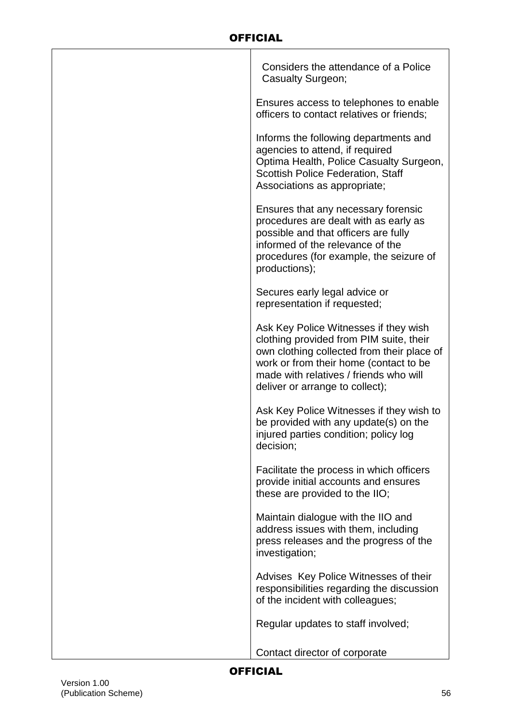| Considers the attendance of a Police<br>Casualty Surgeon;                                                                                                                                                                                             |
|-------------------------------------------------------------------------------------------------------------------------------------------------------------------------------------------------------------------------------------------------------|
| Ensures access to telephones to enable<br>officers to contact relatives or friends;                                                                                                                                                                   |
| Informs the following departments and<br>agencies to attend, if required<br>Optima Health, Police Casualty Surgeon,<br>Scottish Police Federation, Staff<br>Associations as appropriate;                                                              |
| Ensures that any necessary forensic<br>procedures are dealt with as early as<br>possible and that officers are fully<br>informed of the relevance of the<br>procedures (for example, the seizure of<br>productions);                                  |
| Secures early legal advice or<br>representation if requested;                                                                                                                                                                                         |
| Ask Key Police Witnesses if they wish<br>clothing provided from PIM suite, their<br>own clothing collected from their place of<br>work or from their home (contact to be<br>made with relatives / friends who will<br>deliver or arrange to collect); |
| Ask Key Police Witnesses if they wish to<br>be provided with any update(s) on the<br>injured parties condition; policy log<br>decision;                                                                                                               |
| Facilitate the process in which officers<br>provide initial accounts and ensures<br>these are provided to the IIO;                                                                                                                                    |
| Maintain dialogue with the IIO and<br>address issues with them, including<br>press releases and the progress of the<br>investigation;                                                                                                                 |
| Advises Key Police Witnesses of their<br>responsibilities regarding the discussion<br>of the incident with colleagues;                                                                                                                                |
| Regular updates to staff involved;                                                                                                                                                                                                                    |
| Contact director of corporate                                                                                                                                                                                                                         |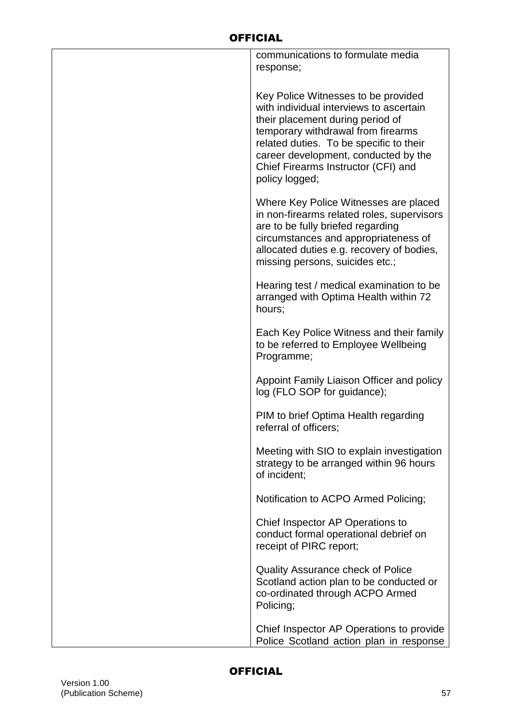| communications to formulate media<br>response;                                                                                                                                                                                                                                                       |
|------------------------------------------------------------------------------------------------------------------------------------------------------------------------------------------------------------------------------------------------------------------------------------------------------|
| Key Police Witnesses to be provided<br>with individual interviews to ascertain<br>their placement during period of<br>temporary withdrawal from firearms<br>related duties. To be specific to their<br>career development, conducted by the<br>Chief Firearms Instructor (CFI) and<br>policy logged; |
| Where Key Police Witnesses are placed<br>in non-firearms related roles, supervisors<br>are to be fully briefed regarding<br>circumstances and appropriateness of<br>allocated duties e.g. recovery of bodies,<br>missing persons, suicides etc.;                                                     |
| Hearing test / medical examination to be<br>arranged with Optima Health within 72<br>hours;                                                                                                                                                                                                          |
| Each Key Police Witness and their family<br>to be referred to Employee Wellbeing<br>Programme;                                                                                                                                                                                                       |
| Appoint Family Liaison Officer and policy<br>log (FLO SOP for guidance);                                                                                                                                                                                                                             |
| PIM to brief Optima Health regarding<br>referral of officers;                                                                                                                                                                                                                                        |
| Meeting with SIO to explain investigation<br>strategy to be arranged within 96 hours<br>of incident;                                                                                                                                                                                                 |
| Notification to ACPO Armed Policing;                                                                                                                                                                                                                                                                 |
| Chief Inspector AP Operations to<br>conduct formal operational debrief on<br>receipt of PIRC report;                                                                                                                                                                                                 |
| <b>Quality Assurance check of Police</b><br>Scotland action plan to be conducted or<br>co-ordinated through ACPO Armed<br>Policing;                                                                                                                                                                  |
| Chief Inspector AP Operations to provide<br>Police Scotland action plan in response                                                                                                                                                                                                                  |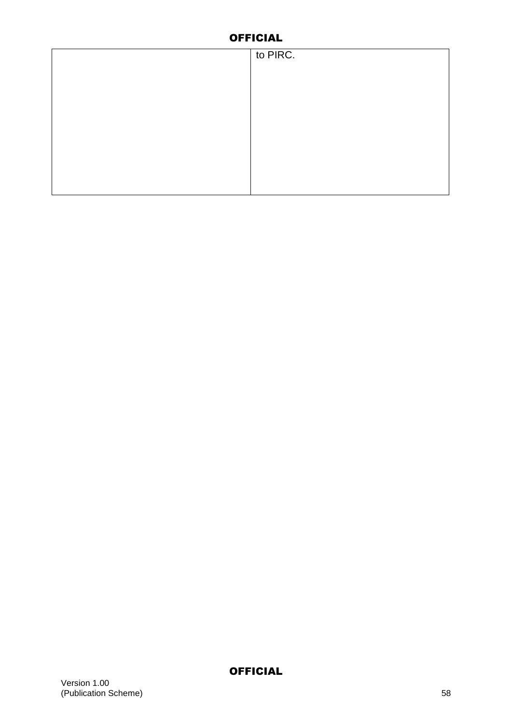| to PIRC. |
|----------|
|          |
|          |
|          |
|          |
|          |
|          |
|          |
|          |